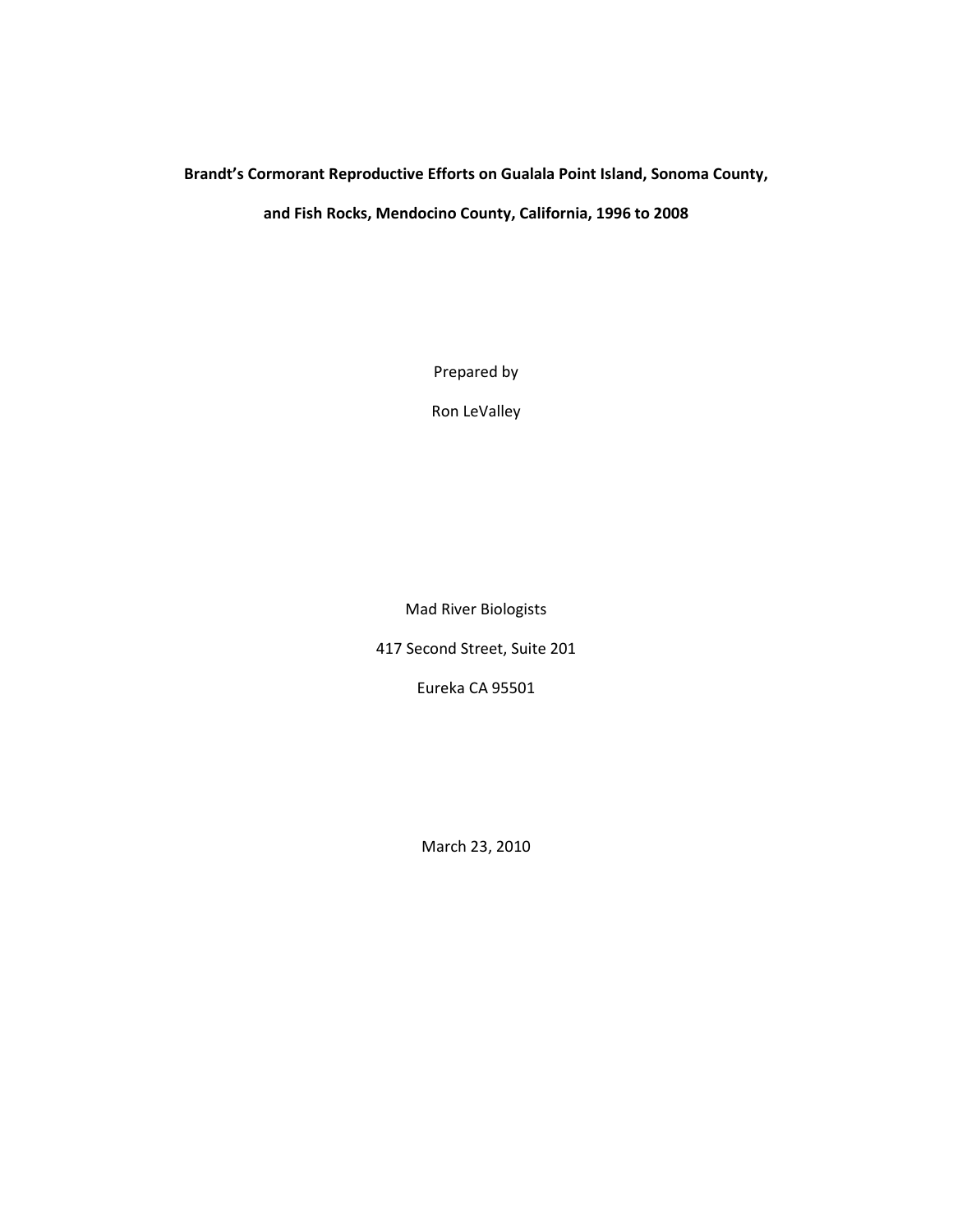## **Brandt's Cormorant Reproductive Efforts on Gualala Point Island, Sonoma County,**

**and Fish Rocks, Mendocino County, California, 1996 to 2008**

Prepared by

Ron LeValley

Mad River Biologists

417 Second Street, Suite 201

Eureka CA 95501

March 23, 2010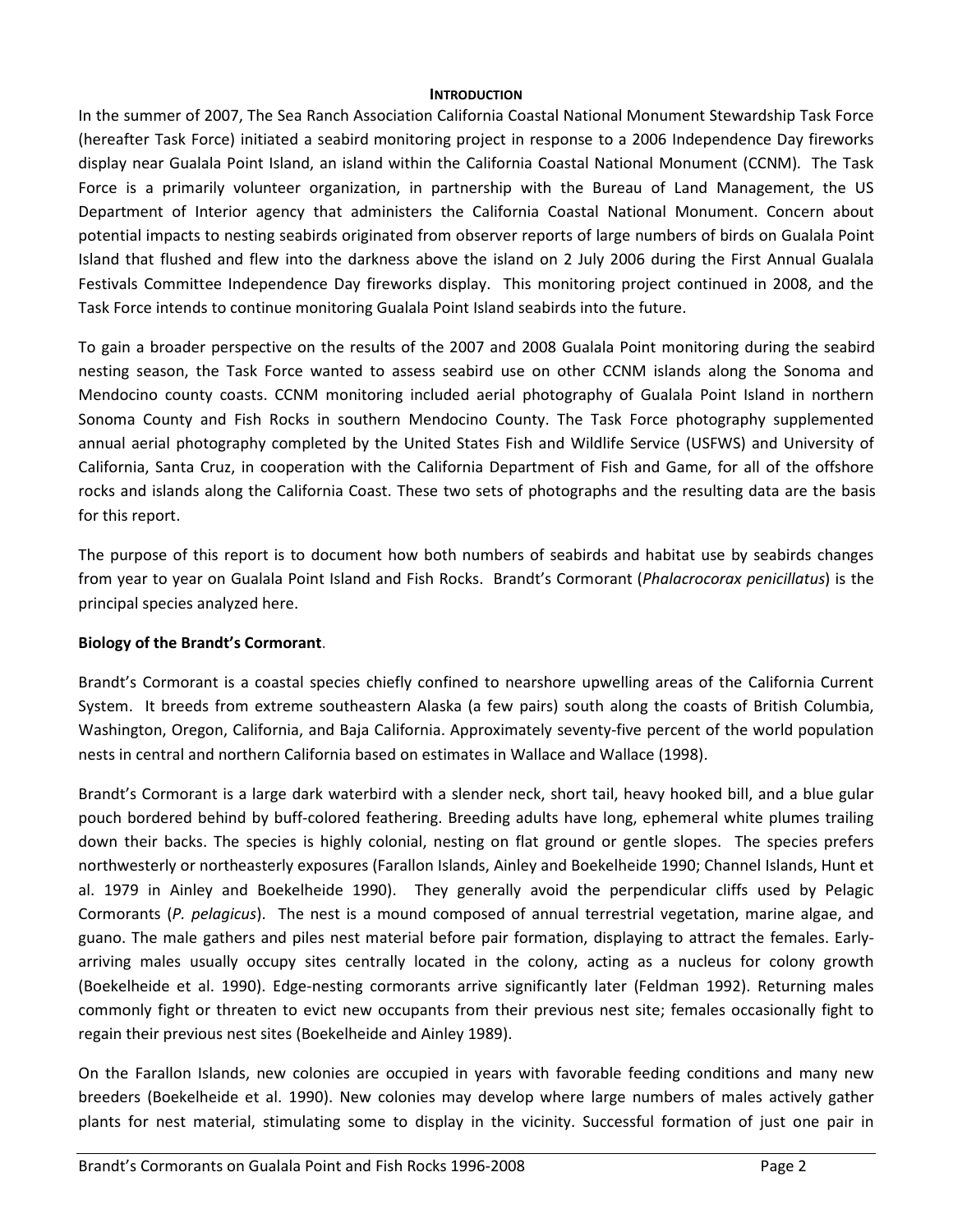#### **INTRODUCTION**

In the summer of 2007, The Sea Ranch Association California Coastal National Monument Stewardship Task Force (hereafter Task Force) initiated a seabird monitoring project in response to a 2006 Independence Day fireworks display near Gualala Point Island, an island within the California Coastal National Monument (CCNM). The Task Force is a primarily volunteer organization, in partnership with the Bureau of Land Management, the US Department of Interior agency that administers the California Coastal National Monument. Concern about potential impacts to nesting seabirds originated from observer reports of large numbers of birds on Gualala Point Island that flushed and flew into the darkness above the island on 2 July 2006 during the First Annual Gualala Festivals Committee Independence Day fireworks display. This monitoring project continued in 2008, and the Task Force intends to continue monitoring Gualala Point Island seabirds into the future.

To gain a broader perspective on the results of the 2007 and 2008 Gualala Point monitoring during the seabird nesting season, the Task Force wanted to assess seabird use on other CCNM islands along the Sonoma and Mendocino county coasts. CCNM monitoring included aerial photography of Gualala Point Island in northern Sonoma County and Fish Rocks in southern Mendocino County. The Task Force photography supplemented annual aerial photography completed by the United States Fish and Wildlife Service (USFWS) and University of California, Santa Cruz, in cooperation with the California Department of Fish and Game, for all of the offshore rocks and islands along the California Coast. These two sets of photographs and the resulting data are the basis for this report.

The purpose of this report is to document how both numbers of seabirds and habitat use by seabirds changes from year to year on Gualala Point Island and Fish Rocks. Brandt's Cormorant (*Phalacrocorax penicillatus*) is the principal species analyzed here.

## **Biology of the Brandt's Cormorant**.

Brandt's Cormorant is a coastal species chiefly confined to nearshore upwelling areas of the California Current System. It breeds from extreme southeastern Alaska (a few pairs) south along the coasts of British Columbia, Washington, Oregon, California, and Baja California. Approximately seventy-five percent of the world population nests in central and northern California based on estimates in Wallace and Wallace (1998).

Brandt's Cormorant is a large dark waterbird with a slender neck, short tail, heavy hooked bill, and a blue gular pouch bordered behind by buff-colored feathering. Breeding adults have long, ephemeral white plumes trailing down their backs. The species is highly colonial, nesting on flat ground or gentle slopes. The species prefers northwesterly or northeasterly exposures (Farallon Islands, Ainley and Boekelheide 1990; Channel Islands, Hunt et al. 1979 in Ainley and Boekelheide 1990). They generally avoid the perpendicular cliffs used by Pelagic Cormorants (*P. pelagicus*). The nest is a mound composed of annual terrestrial vegetation, marine algae, and guano. The male gathers and piles nest material before pair formation, displaying to attract the females. Earlyarriving males usually occupy sites centrally located in the colony, acting as a nucleus for colony growth ([Boekelheide et al. 1990\). Edge-nesting cormorants arrive significantly later \(Feldman 1992\). Returning](http://bna.birds.cornell.edu.bnaproxy.birds.cornell.edu/bna/species/362/articles/species/362/biblio/bib020) males commonly fight or threaten to evict new occupants from their previous nest site; females occasionally fight to regain their previous nest sites ([Boekelheide and Ainley 1989\).](http://bna.birds.cornell.edu.bnaproxy.birds.cornell.edu/bna/species/362/articles/species/362/biblio/bib019)

On the Farallon Islands, new colonies are occupied in years with favorable feeding conditions and many new breeders ([Boekelheide et al. 1990\). New colonies may develop where large numbers of males actively gather](http://bna.birds.cornell.edu.bnaproxy.birds.cornell.edu/bna/species/362/articles/species/362/biblio/bib020)  plants for nest material, stimulating some to display in the vicinity. Successful formation of just one pair in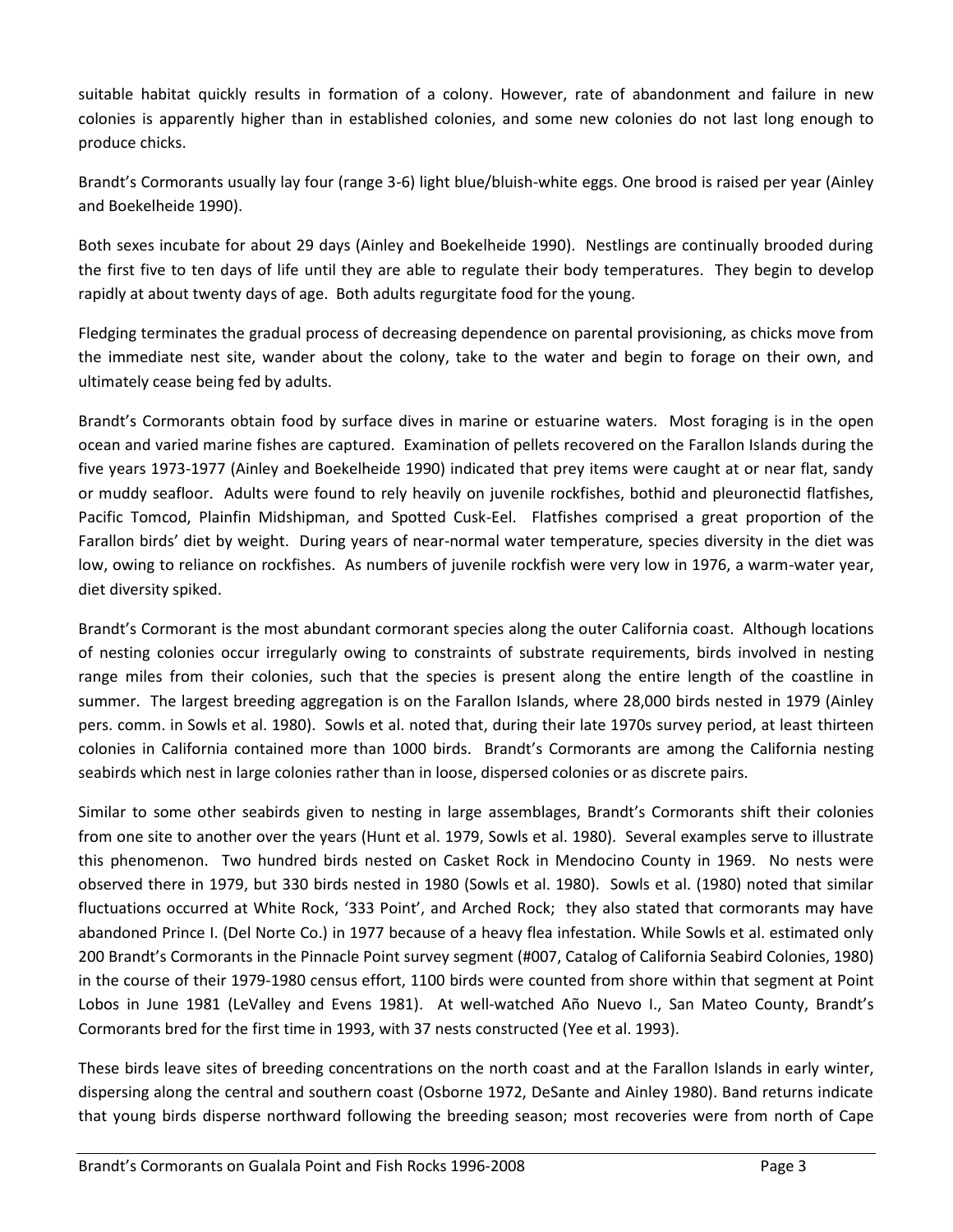suitable habitat quickly results in formation of a colony. However, rate of abandonment and failure in new colonies is apparently higher than in established colonies, and some new colonies do not last long enough to produce chicks.

Brandt's Cormorants usually lay four (range 3-6) light blue/bluish-white eggs. One brood is raised per year (Ainley and Boekelheide 1990).

Both sexes incubate for about 29 days (Ainley and Boekelheide 1990). Nestlings are continually brooded during the first five to ten days of life until they are able to regulate their body temperatures. They begin to develop rapidly at about twenty days of age. Both adults regurgitate food for the young.

Fledging terminates the gradual process of decreasing dependence on parental provisioning, as chicks move from the immediate nest site, wander about the colony, take to the water and begin to forage on their own, and ultimately cease being fed by adults.

Brandt's Cormorants obtain food by surface dives in marine or estuarine waters. Most foraging is in the open ocean and varied marine fishes are captured. Examination of pellets recovered on the Farallon Islands during the five years 1973-1977 (Ainley and Boekelheide 1990) indicated that prey items were caught at or near flat, sandy or muddy seafloor. Adults were found to rely heavily on juvenile rockfishes, bothid and pleuronectid flatfishes, Pacific Tomcod, Plainfin Midshipman, and Spotted Cusk-Eel. Flatfishes comprised a great proportion of the Farallon birds' diet by weight. During years of near-normal water temperature, species diversity in the diet was low, owing to reliance on rockfishes. As numbers of juvenile rockfish were very low in 1976, a warm-water year, diet diversity spiked.

Brandt's Cormorant is the most abundant cormorant species along the outer California coast. Although locations of nesting colonies occur irregularly owing to constraints of substrate requirements, birds involved in nesting range miles from their colonies, such that the species is present along the entire length of the coastline in summer. The largest breeding aggregation is on the Farallon Islands, where 28,000 birds nested in 1979 (Ainley pers. comm. in Sowls et al. 1980). Sowls et al. noted that, during their late 1970s survey period, at least thirteen colonies in California contained more than 1000 birds. Brandt's Cormorants are among the California nesting seabirds which nest in large colonies rather than in loose, dispersed colonies or as discrete pairs.

Similar to some other seabirds given to nesting in large assemblages, Brandt's Cormorants shift their colonies from one site to another over the years (Hunt et al. 1979, Sowls et al. 1980). Several examples serve to illustrate this phenomenon. Two hundred birds nested on Casket Rock in Mendocino County in 1969. No nests were observed there in 1979, but 330 birds nested in 1980 (Sowls et al. 1980). Sowls et al. (1980) noted that similar fluctuations occurred at White Rock, '333 Point', and Arched Rock; they also stated that cormorants may have abandoned Prince I. (Del Norte Co.) in 1977 because of a heavy flea infestation. While Sowls et al. estimated only 200 Brandt's Cormorants in the Pinnacle Point survey segment (#007, Catalog of California Seabird Colonies, 1980) in the course of their 1979-1980 census effort, 1100 birds were counted from shore within that segment at Point Lobos in June 1981 (LeValley and Evens 1981). At well-watched Año Nuevo I., San Mateo County, Brandt's Cormorants bred for the first time in 1993, with 37 nests constructed (Yee et al. 1993).

These birds leave sites of breeding concentrations on the north coast and at the Farallon Islands in early winter, dispersing along the central and southern coast (Osborne 1972, DeSante and Ainley 1980). Band returns indicate that young birds disperse northward following the breeding season; most recoveries were from north of Cape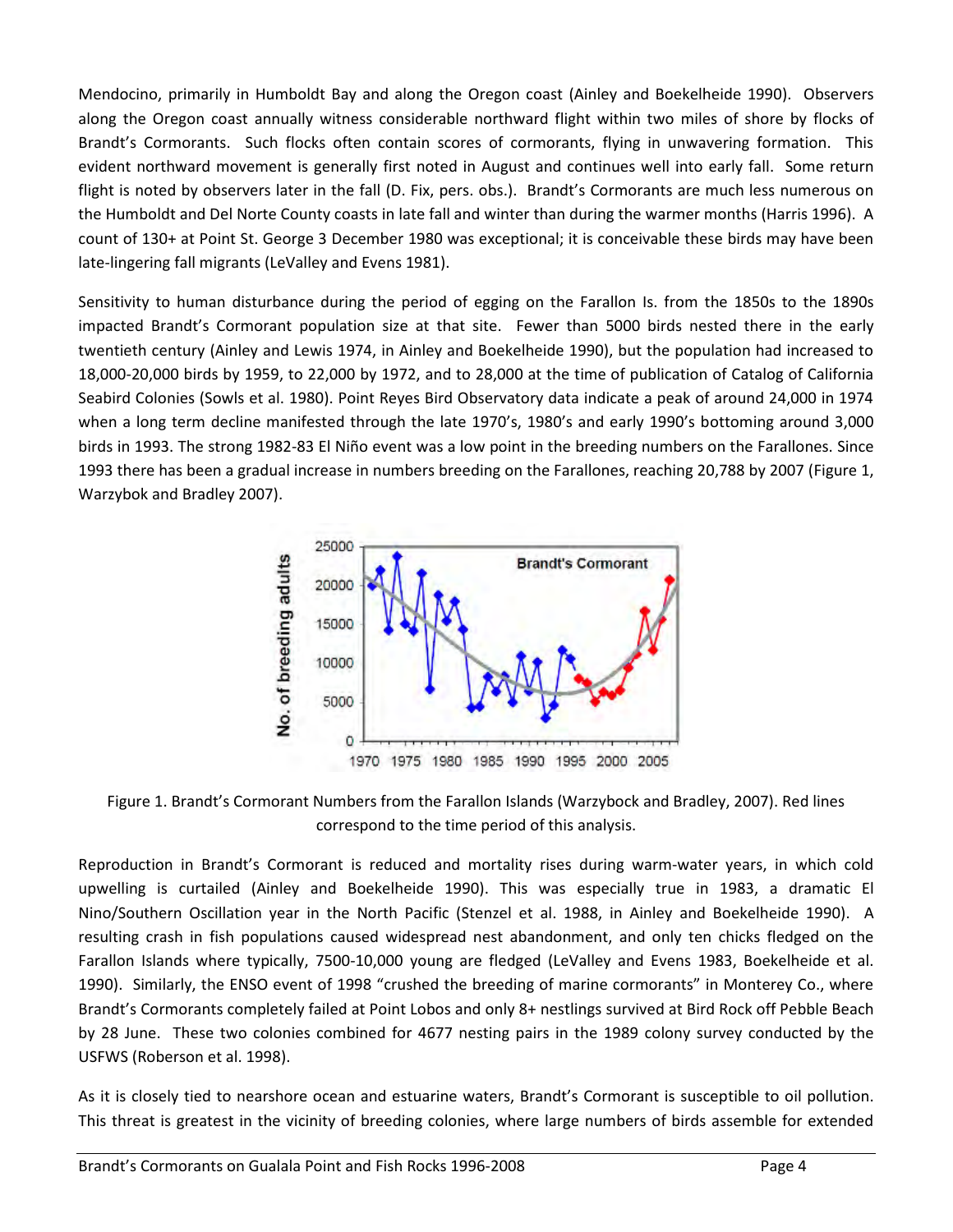Mendocino, primarily in Humboldt Bay and along the Oregon coast (Ainley and Boekelheide 1990). Observers along the Oregon coast annually witness considerable northward flight within two miles of shore by flocks of Brandt's Cormorants. Such flocks often contain scores of cormorants, flying in unwavering formation. This evident northward movement is generally first noted in August and continues well into early fall. Some return flight is noted by observers later in the fall (D. Fix, pers. obs.). Brandt's Cormorants are much less numerous on the Humboldt and Del Norte County coasts in late fall and winter than during the warmer months (Harris 1996). A count of 130+ at Point St. George 3 December 1980 was exceptional; it is conceivable these birds may have been late-lingering fall migrants (LeValley and Evens 1981).

Sensitivity to human disturbance during the period of egging on the Farallon Is. from the 1850s to the 1890s impacted Brandt's Cormorant population size at that site. Fewer than 5000 birds nested there in the early twentieth century (Ainley and Lewis 1974, in Ainley and Boekelheide 1990), but the population had increased to 18,000-20,000 birds by 1959, to 22,000 by 1972, and to 28,000 at the time of publication of Catalog of California Seabird Colonies (Sowls et al. 1980). Point Reyes Bird Observatory data indicate a peak of around 24,000 in 1974 when a long term decline manifested through the late 1970's, 1980's and early 1990's bottoming around 3,000 birds in 1993. The strong 1982-83 El Niño event was a low point in the breeding numbers on the Farallones. Since 1993 there has been a gradual increase in numbers breeding on the Farallones, reaching 20,788 by 2007 (Figure 1, Warzybok and Bradley 2007).



Figure 1. Brandt's Cormorant Numbers from the Farallon Islands (Warzybock and Bradley, 2007). Red lines correspond to the time period of this analysis.

Reproduction in Brandt's Cormorant is reduced and mortality rises during warm-water years, in which cold upwelling is curtailed (Ainley and Boekelheide 1990). This was especially true in 1983, a dramatic El Nino/Southern Oscillation year in the North Pacific (Stenzel et al. 1988, in Ainley and Boekelheide 1990). A resulting crash in fish populations caused widespread nest abandonment, and only ten chicks fledged on the Farallon Islands where typically, 7500-10,000 young are fledged (LeValley and Evens 1983, [Boekelheide et al.](http://bna.birds.cornell.edu.bnaproxy.birds.cornell.edu/bna/species/362/articles/species/362/biblio/bib020)  [1990\). Similarly, the ENSO event of 1998 "crushed the breeding of marine cormorants" in Monterey Co., where](http://bna.birds.cornell.edu.bnaproxy.birds.cornell.edu/bna/species/362/articles/species/362/biblio/bib020)  Brandt's Cormorants completely failed at Point Lobos and only 8+ nestlings survived at Bird Rock off Pebble Beach by 28 June. These two colonies combined for 4677 nesting pairs in the 1989 colony survey conducted by the USFWS (Roberson et al. 1998).

As it is closely tied to nearshore ocean and estuarine waters, Brandt's Cormorant is susceptible to oil pollution. This threat is greatest in the vicinity of breeding colonies, where large numbers of birds assemble for extended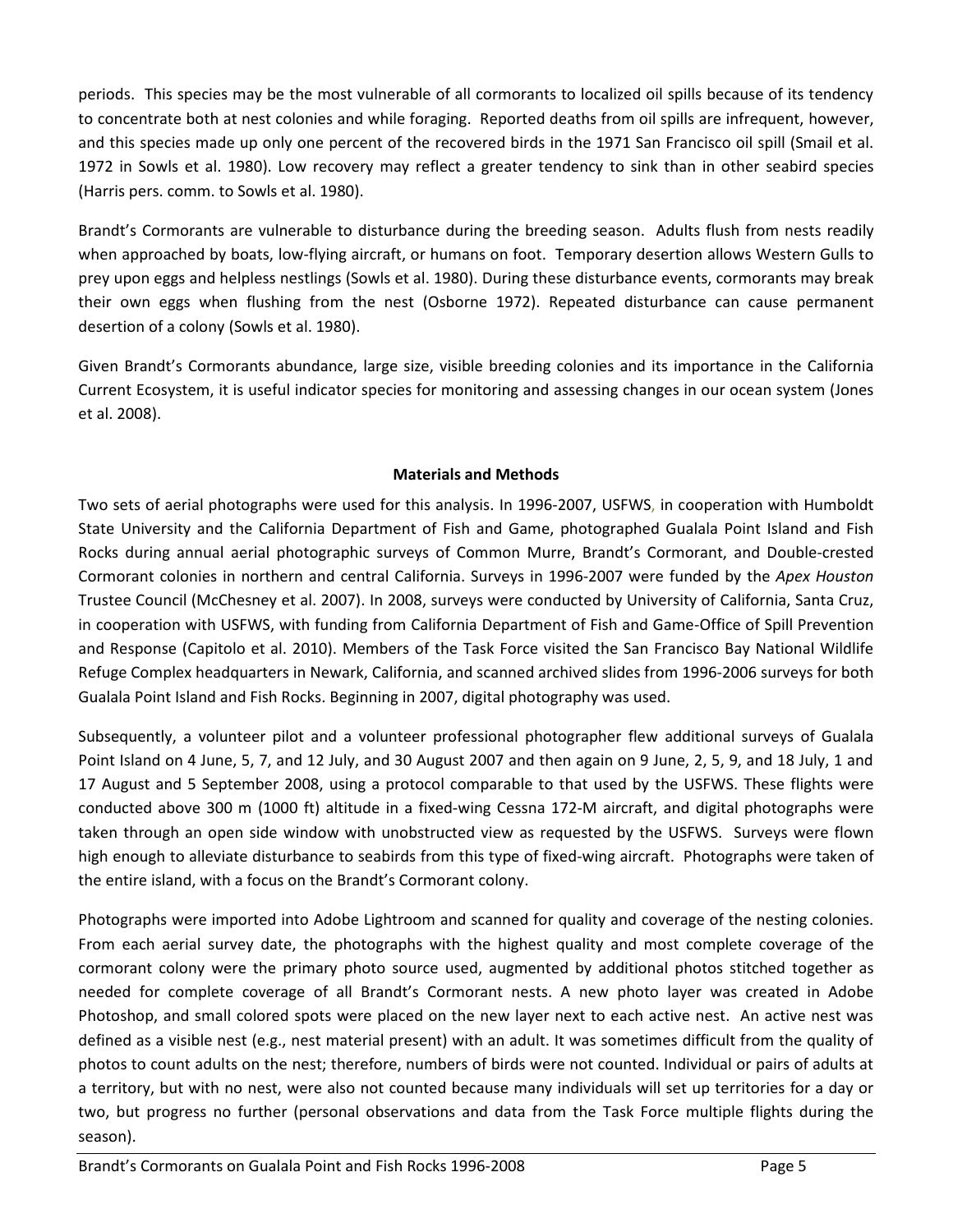periods. This species may be the most vulnerable of all cormorants to localized oil spills because of its tendency to concentrate both at nest colonies and while foraging. Reported deaths from oil spills are infrequent, however, and this species made up only one percent of the recovered birds in the 1971 San Francisco oil spill (Smail et al. 1972 in Sowls et al. 1980). Low recovery may reflect a greater tendency to sink than in other seabird species (Harris pers. comm. to Sowls et al. 1980).

Brandt's Cormorants are vulnerable to disturbance during the breeding season. Adults flush from nests readily when approached by boats, low-flying aircraft, or humans on foot. Temporary desertion allows Western Gulls to prey upon eggs and helpless nestlings (Sowls et al. 1980). During these disturbance events, cormorants may break their own eggs when flushing from the nest [\(Osborne 1972\). Repeated disturbance can cause permanent](http://bna.birds.cornell.edu.bnaproxy.birds.cornell.edu/bna/species/362/articles/species/362/biblio/bib080)  desertion of a colony ([Sowls et al. 1980\).](http://bna.birds.cornell.edu.bnaproxy.birds.cornell.edu/bna/species/362/articles/species/362/biblio/bib095)

Given Brandt's Cormorants abundance, large size, visible breeding colonies and its importance in the California Current Ecosystem, it is useful indicator species for monitoring and assessing changes in our ocean system (Jones et al. 2008).

## **Materials and Methods**

Two sets of aerial photographs were used for this analysis. In 1996-2007, USFWS, in cooperation with Humboldt State University and the California Department of Fish and Game, photographed Gualala Point Island and Fish Rocks during annual aerial photographic surveys of Common Murre, Brandt's Cormorant, and Double-crested Cormorant colonies in northern and central California. Surveys in 1996-2007 were funded by the *Apex Houston* Trustee Council (McChesney et al. 2007). In 2008, surveys were conducted by University of California, Santa Cruz, in cooperation with USFWS, with funding from California Department of Fish and Game-Office of Spill Prevention and Response (Capitolo et al. 2010). Members of the Task Force visited the San Francisco Bay National Wildlife Refuge Complex headquarters in Newark, California, and scanned archived slides from 1996-2006 surveys for both Gualala Point Island and Fish Rocks. Beginning in 2007, digital photography was used.

Subsequently, a volunteer pilot and a volunteer professional photographer flew additional surveys of Gualala Point Island on 4 June, 5, 7, and 12 July, and 30 August 2007 and then again on 9 June, 2, 5, 9, and 18 July, 1 and 17 August and 5 September 2008, using a protocol comparable to that used by the USFWS. These flights were conducted above 300 m (1000 ft) altitude in a fixed-wing Cessna 172-M aircraft, and digital photographs were taken through an open side window with unobstructed view as requested by the USFWS. Surveys were flown high enough to alleviate disturbance to seabirds from this type of fixed-wing aircraft. Photographs were taken of the entire island, with a focus on the Brandt's Cormorant colony.

Photographs were imported into Adobe Lightroom and scanned for quality and coverage of the nesting colonies. From each aerial survey date, the photographs with the highest quality and most complete coverage of the cormorant colony were the primary photo source used, augmented by additional photos stitched together as needed for complete coverage of all Brandt's Cormorant nests. A new photo layer was created in Adobe Photoshop, and small colored spots were placed on the new layer next to each active nest. An active nest was defined as a visible nest (e.g., nest material present) with an adult. It was sometimes difficult from the quality of photos to count adults on the nest; therefore, numbers of birds were not counted. Individual or pairs of adults at a territory, but with no nest, were also not counted because many individuals will set up territories for a day or two, but progress no further (personal observations and data from the Task Force multiple flights during the season).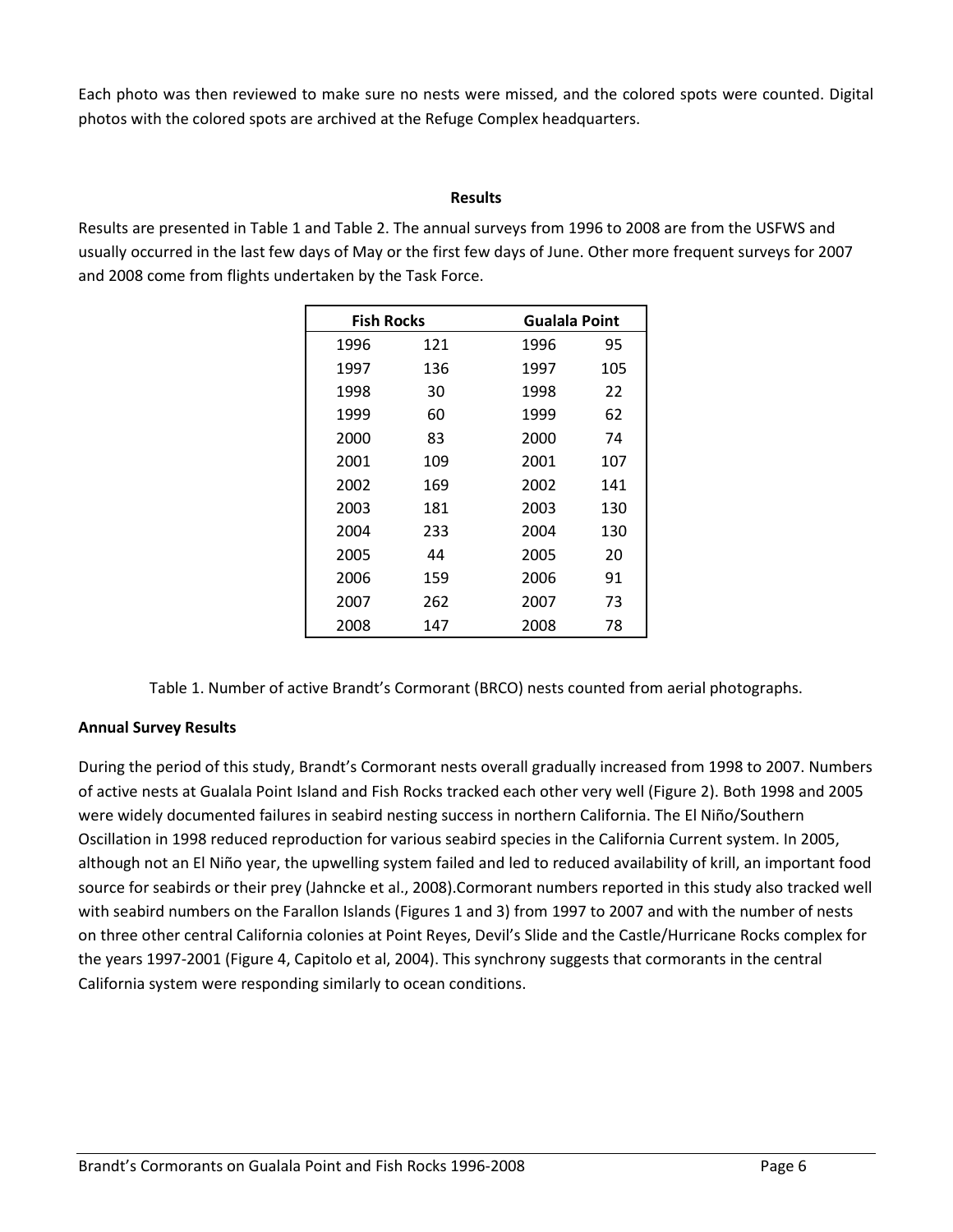Each photo was then reviewed to make sure no nests were missed, and the colored spots were counted. Digital photos with the colored spots are archived at the Refuge Complex headquarters.

#### **Results**

Results are presented in Table 1 and Table 2. The annual surveys from 1996 to 2008 are from the USFWS and usually occurred in the last few days of May or the first few days of June. Other more frequent surveys for 2007 and 2008 come from flights undertaken by the Task Force.

| <b>Fish Rocks</b> |     | Gualala Point |     |  |
|-------------------|-----|---------------|-----|--|
| 1996              | 121 | 1996          | 95  |  |
| 1997              | 136 | 1997          | 105 |  |
| 1998              | 30  | 1998          | 22  |  |
| 1999              | 60  | 1999          | 62  |  |
| 2000              | 83  | 2000          | 74  |  |
| 2001              | 109 | 2001          | 107 |  |
| 2002              | 169 | 2002          | 141 |  |
| 2003              | 181 | 2003          | 130 |  |
| 2004              | 233 | 2004          | 130 |  |
| 2005              | 44  | 2005          | 20  |  |
| 2006              | 159 | 2006          | 91  |  |
| 2007              | 262 | 2007          | 73  |  |
| 2008              | 147 | 2008          | 78  |  |

Table 1. Number of active Brandt's Cormorant (BRCO) nests counted from aerial photographs.

## **Annual Survey Results**

During the period of this study, Brandt's Cormorant nests overall gradually increased from 1998 to 2007. Numbers of active nests at Gualala Point Island and Fish Rocks tracked each other very well (Figure 2). Both 1998 and 2005 were widely documented failures in seabird nesting success in northern California. The El Niño/Southern Oscillation in 1998 reduced reproduction for various seabird species in the California Current system. In 2005, although not an El Niño year, the upwelling system failed and led to reduced availability of krill, an important food source for seabirds or their prey (Jahncke et al., 2008).Cormorant numbers reported in this study also tracked well with seabird numbers on the Farallon Islands (Figures 1 and 3) from 1997 to 2007 and with the number of nests on three other central California colonies at Point Reyes, Devil's Slide and the Castle/Hurricane Rocks complex for the years 1997-2001 (Figure 4, Capitolo et al, 2004). This synchrony suggests that cormorants in the central California system were responding similarly to ocean conditions.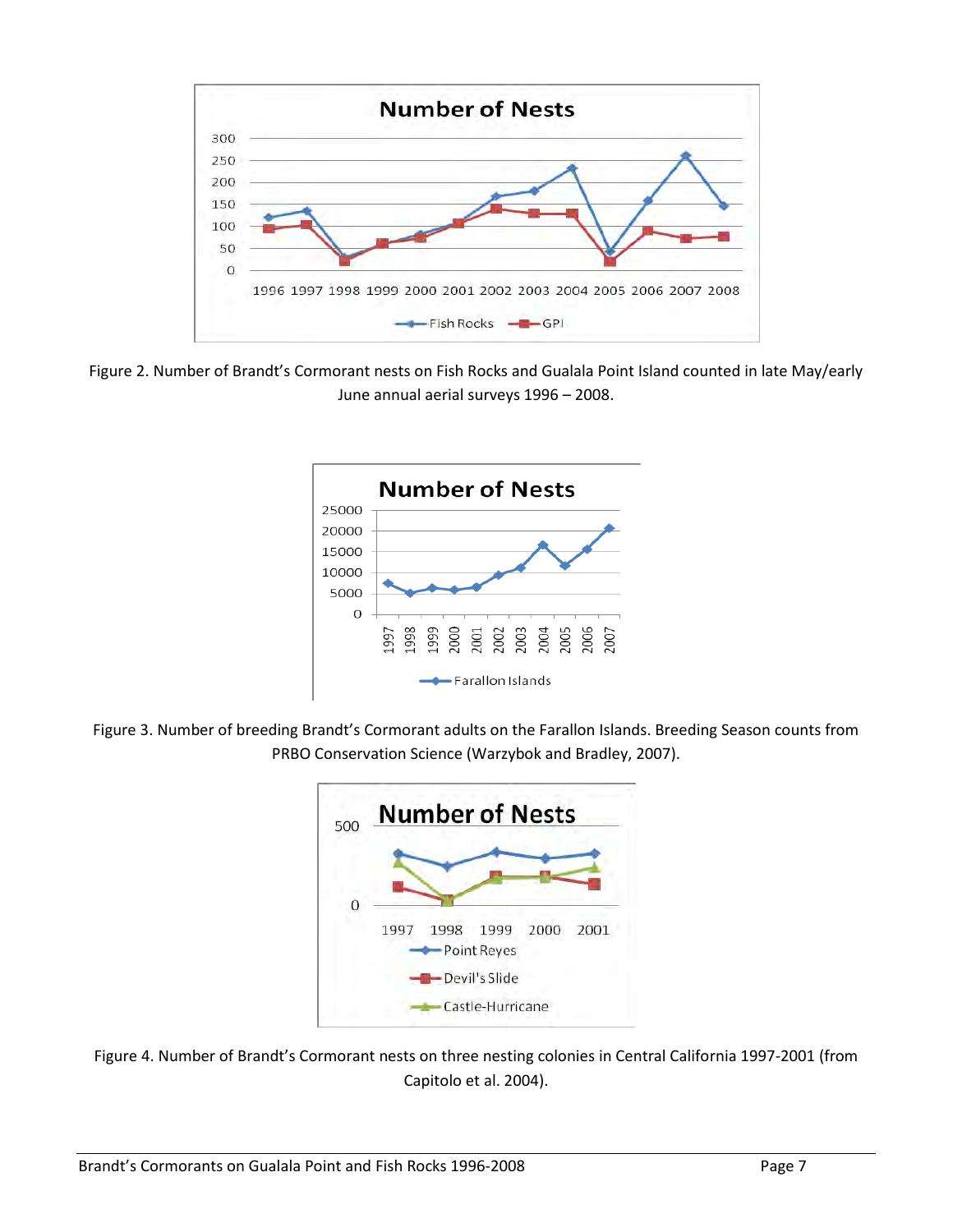

Figure 2. Number of Brandt's Cormorant nests on Fish Rocks and Gualala Point Island counted in late May/early June annual aerial surveys 1996 – 2008.



Figure 3. Number of breeding Brandt's Cormorant adults on the Farallon Islands. Breeding Season counts from PRBO Conservation Science (Warzybok and Bradley, 2007).



Figure 4. Number of Brandt's Cormorant nests on three nesting colonies in Central California 1997-2001 (from Capitolo et al. 2004).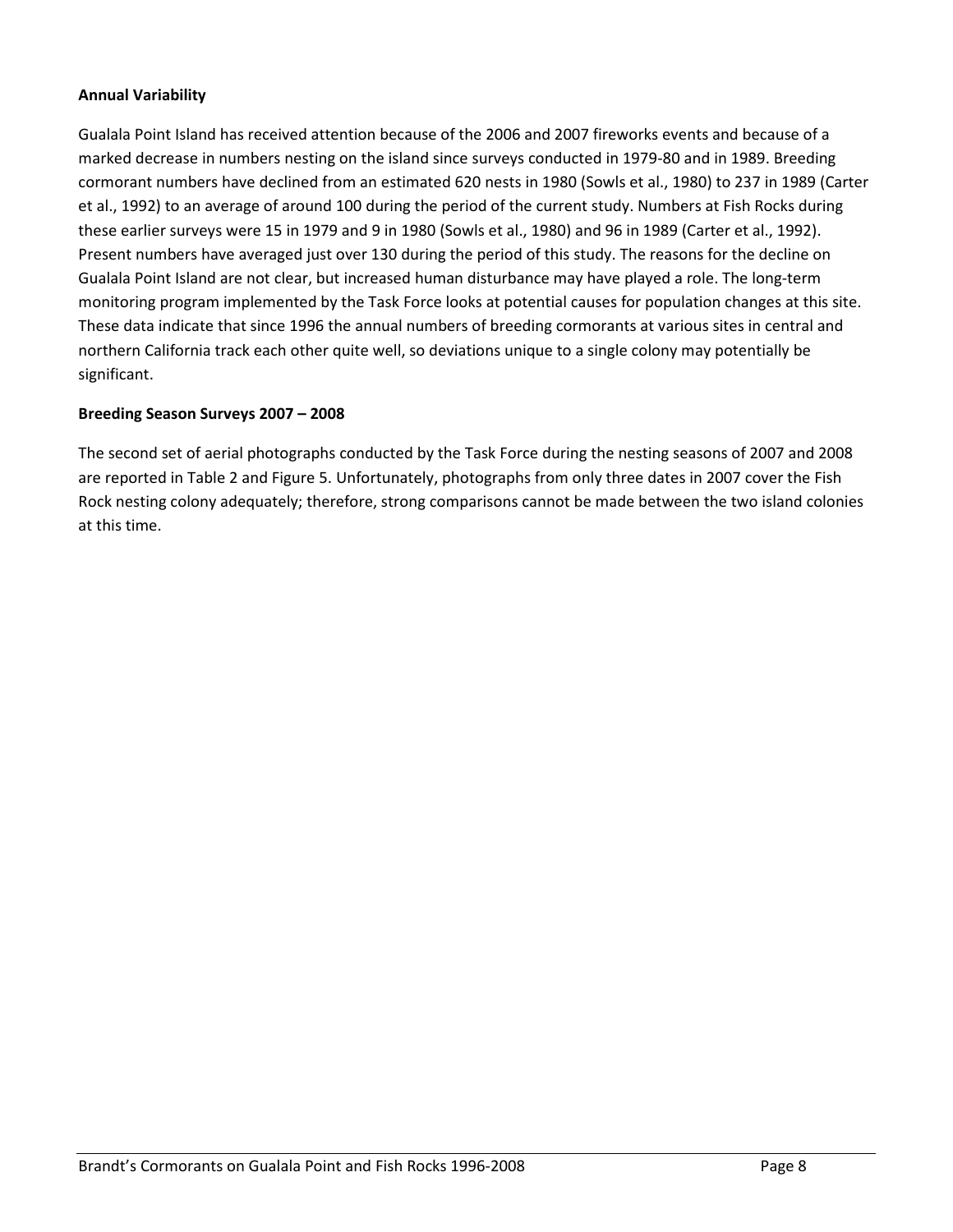#### **Annual Variability**

Gualala Point Island has received attention because of the 2006 and 2007 fireworks events and because of a marked decrease in numbers nesting on the island since surveys conducted in 1979-80 and in 1989. Breeding cormorant numbers have declined from an estimated 620 nests in 1980 (Sowls et al., 1980) to 237 in 1989 (Carter et al., 1992) to an average of around 100 during the period of the current study. Numbers at Fish Rocks during these earlier surveys were 15 in 1979 and 9 in 1980 (Sowls et al., 1980) and 96 in 1989 (Carter et al., 1992). Present numbers have averaged just over 130 during the period of this study. The reasons for the decline on Gualala Point Island are not clear, but increased human disturbance may have played a role. The long-term monitoring program implemented by the Task Force looks at potential causes for population changes at this site. These data indicate that since 1996 the annual numbers of breeding cormorants at various sites in central and northern California track each other quite well, so deviations unique to a single colony may potentially be significant.

#### **Breeding Season Surveys 2007 – 2008**

The second set of aerial photographs conducted by the Task Force during the nesting seasons of 2007 and 2008 are reported in Table 2 and Figure 5. Unfortunately, photographs from only three dates in 2007 cover the Fish Rock nesting colony adequately; therefore, strong comparisons cannot be made between the two island colonies at this time.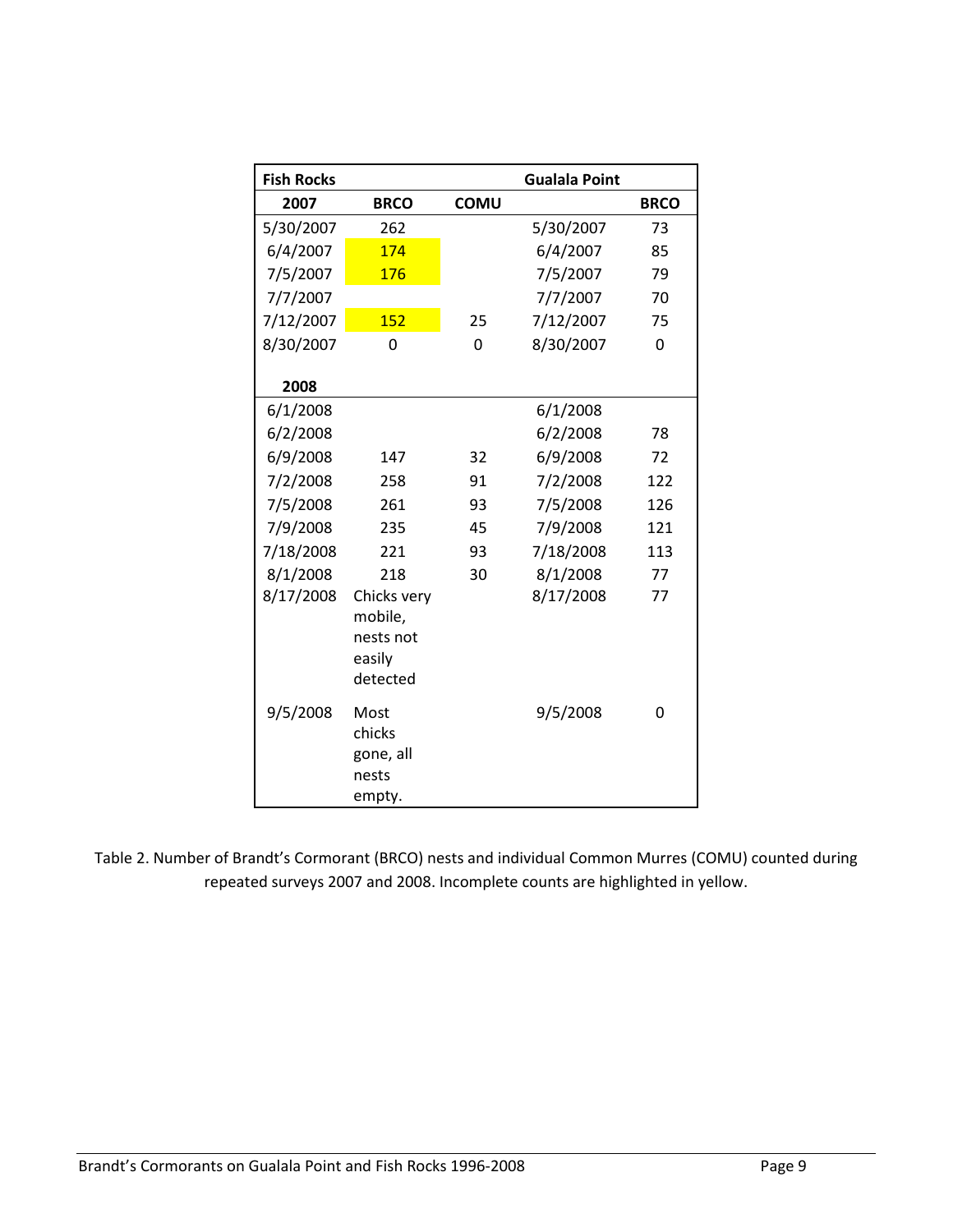| <b>Fish Rocks</b> |                                                           |             | <b>Gualala Point</b> |             |
|-------------------|-----------------------------------------------------------|-------------|----------------------|-------------|
| 2007              | <b>BRCO</b>                                               | <b>COMU</b> |                      | <b>BRCO</b> |
| 5/30/2007         | 262                                                       |             | 5/30/2007            | 73          |
| 6/4/2007          | 174                                                       |             | 6/4/2007             | 85          |
| 7/5/2007          | 176                                                       |             | 7/5/2007             | 79          |
| 7/7/2007          |                                                           |             | 7/7/2007             | 70          |
| 7/12/2007         | 152                                                       | 25          | 7/12/2007            | 75          |
| 8/30/2007         | 0                                                         | 0           | 8/30/2007            | 0           |
| 2008              |                                                           |             |                      |             |
| 6/1/2008          |                                                           |             | 6/1/2008             |             |
| 6/2/2008          |                                                           |             | 6/2/2008             | 78          |
| 6/9/2008          | 147                                                       | 32          | 6/9/2008             | 72          |
| 7/2/2008          | 258                                                       | 91          | 7/2/2008             | 122         |
| 7/5/2008          | 261                                                       | 93          | 7/5/2008             | 126         |
| 7/9/2008          | 235                                                       | 45          | 7/9/2008             | 121         |
| 7/18/2008         | 221                                                       | 93          | 7/18/2008            | 113         |
| 8/1/2008          | 218                                                       | 30          | 8/1/2008             | 77          |
| 8/17/2008         | Chicks very<br>mobile,<br>nests not<br>easily<br>detected |             | 8/17/2008            | 77          |
| 9/5/2008          | Most<br>chicks<br>gone, all<br>nests<br>empty.            |             | 9/5/2008             | 0           |

Table 2. Number of Brandt's Cormorant (BRCO) nests and individual Common Murres (COMU) counted during repeated surveys 2007 and 2008. Incomplete counts are highlighted in yellow.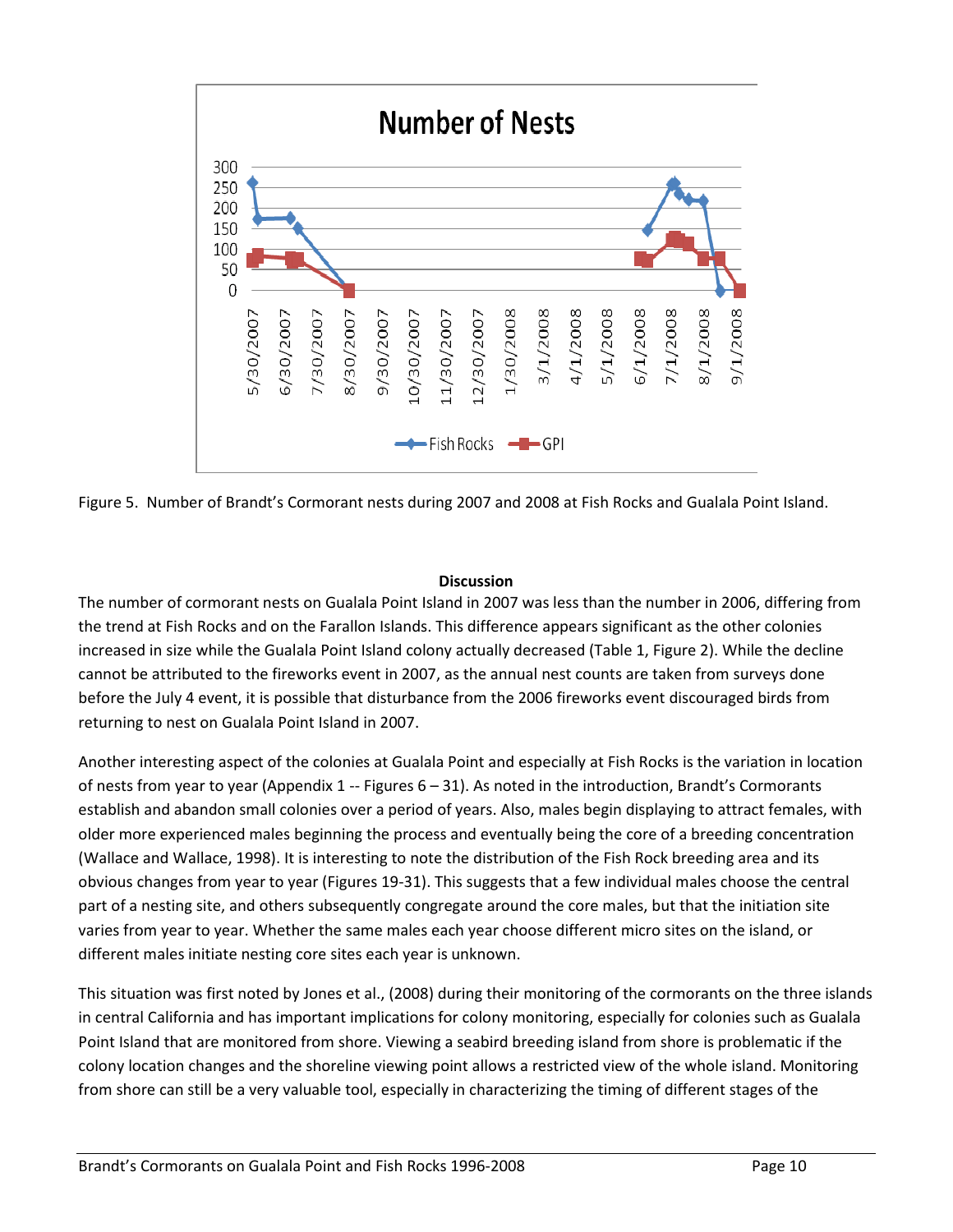

Figure 5. Number of Brandt's Cormorant nests during 2007 and 2008 at Fish Rocks and Gualala Point Island.

## **Discussion**

The number of cormorant nests on Gualala Point Island in 2007 was less than the number in 2006, differing from the trend at Fish Rocks and on the Farallon Islands. This difference appears significant as the other colonies increased in size while the Gualala Point Island colony actually decreased (Table 1, Figure 2). While the decline cannot be attributed to the fireworks event in 2007, as the annual nest counts are taken from surveys done before the July 4 event, it is possible that disturbance from the 2006 fireworks event discouraged birds from returning to nest on Gualala Point Island in 2007.

Another interesting aspect of the colonies at Gualala Point and especially at Fish Rocks is the variation in location of nests from year to year (Appendix 1 -- Figures 6 – 31). As noted in the introduction, Brandt's Cormorants establish and abandon small colonies over a period of years. Also, males begin displaying to attract females, with older more experienced males beginning the process and eventually being the core of a breeding concentration (Wallace and Wallace, 1998). It is interesting to note the distribution of the Fish Rock breeding area and its obvious changes from year to year (Figures 19-31). This suggests that a few individual males choose the central part of a nesting site, and others subsequently congregate around the core males, but that the initiation site varies from year to year. Whether the same males each year choose different micro sites on the island, or different males initiate nesting core sites each year is unknown.

This situation was first noted by Jones et al., (2008) during their monitoring of the cormorants on the three islands in central California and has important implications for colony monitoring, especially for colonies such as Gualala Point Island that are monitored from shore. Viewing a seabird breeding island from shore is problematic if the colony location changes and the shoreline viewing point allows a restricted view of the whole island. Monitoring from shore can still be a very valuable tool, especially in characterizing the timing of different stages of the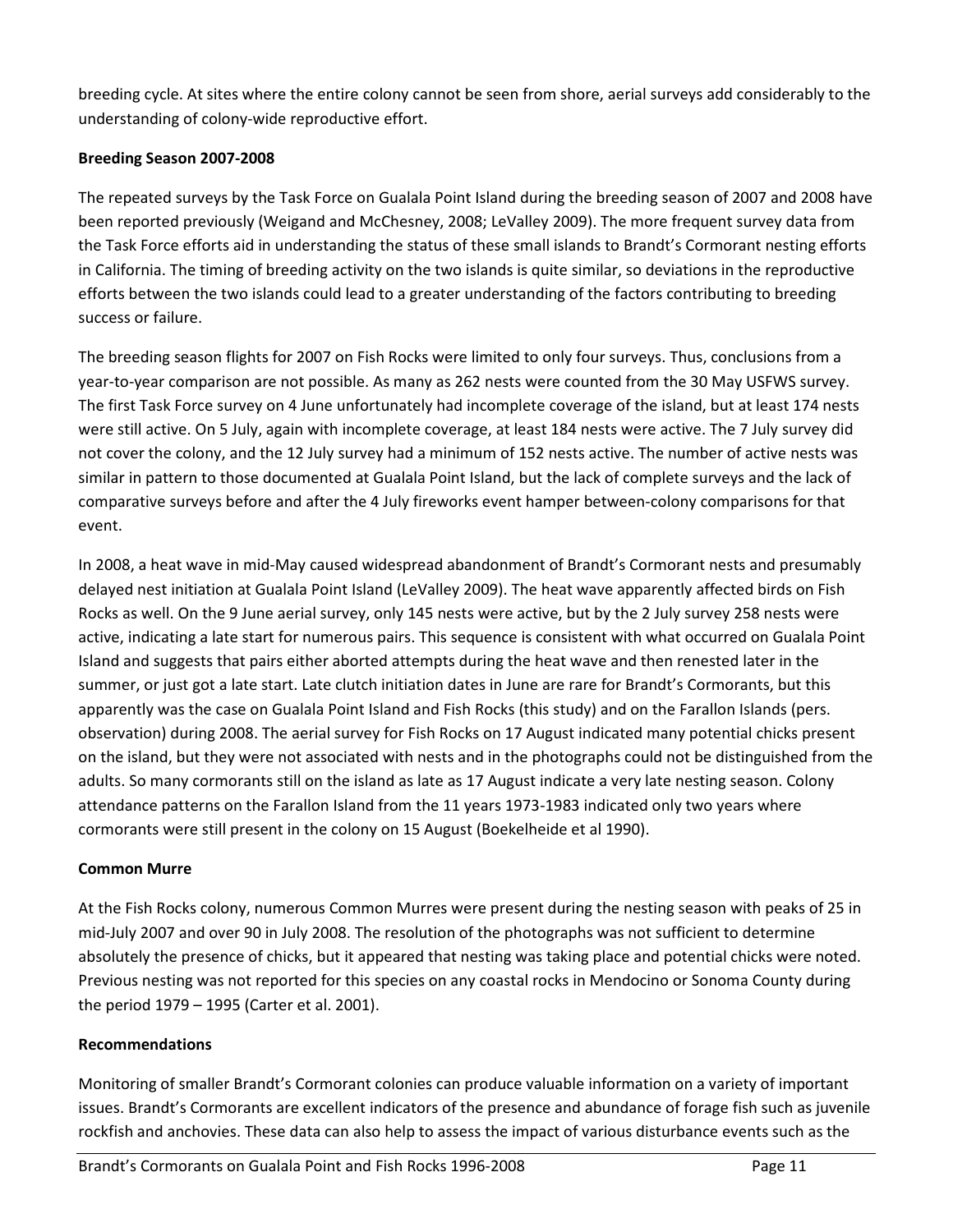breeding cycle. At sites where the entire colony cannot be seen from shore, aerial surveys add considerably to the understanding of colony-wide reproductive effort.

## **Breeding Season 2007-2008**

The repeated surveys by the Task Force on Gualala Point Island during the breeding season of 2007 and 2008 have been reported previously (Weigand and McChesney, 2008; LeValley 2009). The more frequent survey data from the Task Force efforts aid in understanding the status of these small islands to Brandt's Cormorant nesting efforts in California. The timing of breeding activity on the two islands is quite similar, so deviations in the reproductive efforts between the two islands could lead to a greater understanding of the factors contributing to breeding success or failure.

The breeding season flights for 2007 on Fish Rocks were limited to only four surveys. Thus, conclusions from a year-to-year comparison are not possible. As many as 262 nests were counted from the 30 May USFWS survey. The first Task Force survey on 4 June unfortunately had incomplete coverage of the island, but at least 174 nests were still active. On 5 July, again with incomplete coverage, at least 184 nests were active. The 7 July survey did not cover the colony, and the 12 July survey had a minimum of 152 nests active. The number of active nests was similar in pattern to those documented at Gualala Point Island, but the lack of complete surveys and the lack of comparative surveys before and after the 4 July fireworks event hamper between-colony comparisons for that event.

In 2008, a heat wave in mid-May caused widespread abandonment of Brandt's Cormorant nests and presumably delayed nest initiation at Gualala Point Island (LeValley 2009). The heat wave apparently affected birds on Fish Rocks as well. On the 9 June aerial survey, only 145 nests were active, but by the 2 July survey 258 nests were active, indicating a late start for numerous pairs. This sequence is consistent with what occurred on Gualala Point Island and suggests that pairs either aborted attempts during the heat wave and then renested later in the summer, or just got a late start. Late clutch initiation dates in June are rare for Brandt's Cormorants, but this apparently was the case on Gualala Point Island and Fish Rocks (this study) and on the Farallon Islands (pers. observation) during 2008. The aerial survey for Fish Rocks on 17 August indicated many potential chicks present on the island, but they were not associated with nests and in the photographs could not be distinguished from the adults. So many cormorants still on the island as late as 17 August indicate a very late nesting season. Colony attendance patterns on the Farallon Island from the 11 years 1973-1983 indicated only two years where cormorants were still present in the colony on 15 August (Boekelheide et al 1990).

# **Common Murre**

At the Fish Rocks colony, numerous Common Murres were present during the nesting season with peaks of 25 in mid-July 2007 and over 90 in July 2008. The resolution of the photographs was not sufficient to determine absolutely the presence of chicks, but it appeared that nesting was taking place and potential chicks were noted. Previous nesting was not reported for this species on any coastal rocks in Mendocino or Sonoma County during the period 1979 – 1995 (Carter et al. 2001).

## **Recommendations**

Monitoring of smaller Brandt's Cormorant colonies can produce valuable information on a variety of important issues. Brandt's Cormorants are excellent indicators of the presence and abundance of forage fish such as juvenile rockfish and anchovies. These data can also help to assess the impact of various disturbance events such as the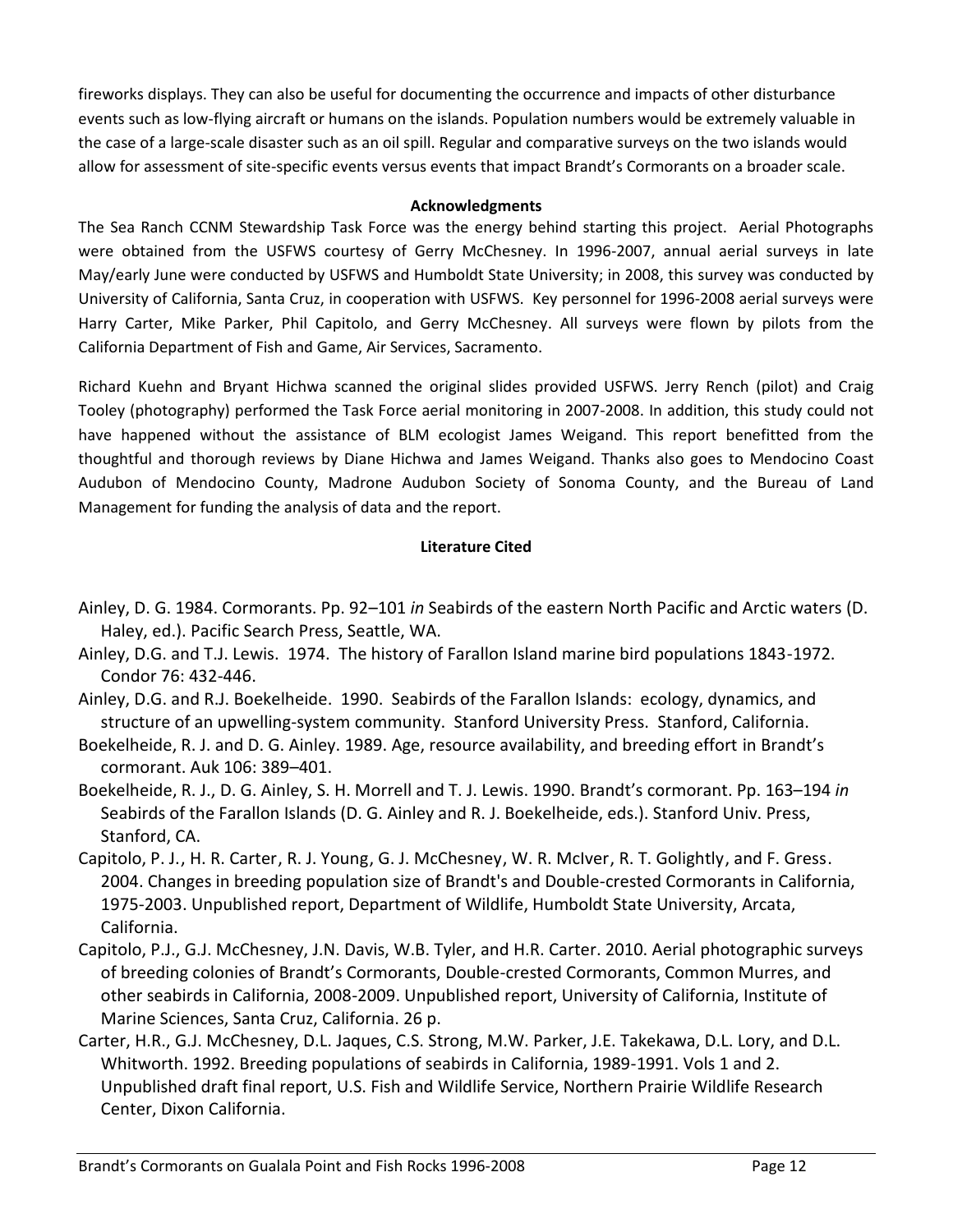fireworks displays. They can also be useful for documenting the occurrence and impacts of other disturbance events such as low-flying aircraft or humans on the islands. Population numbers would be extremely valuable in the case of a large-scale disaster such as an oil spill. Regular and comparative surveys on the two islands would allow for assessment of site-specific events versus events that impact Brandt's Cormorants on a broader scale.

#### **Acknowledgments**

The Sea Ranch CCNM Stewardship Task Force was the energy behind starting this project. Aerial Photographs were obtained from the USFWS courtesy of Gerry McChesney. In 1996-2007, annual aerial surveys in late May/early June were conducted by USFWS and Humboldt State University; in 2008, this survey was conducted by University of California, Santa Cruz, in cooperation with USFWS. Key personnel for 1996-2008 aerial surveys were Harry Carter, Mike Parker, Phil Capitolo, and Gerry McChesney. All surveys were flown by pilots from the California Department of Fish and Game, Air Services, Sacramento.

Richard Kuehn and Bryant Hichwa scanned the original slides provided USFWS. Jerry Rench (pilot) and Craig Tooley (photography) performed the Task Force aerial monitoring in 2007-2008. In addition, this study could not have happened without the assistance of BLM ecologist James Weigand. This report benefitted from the thoughtful and thorough reviews by Diane Hichwa and James Weigand. Thanks also goes to Mendocino Coast Audubon of Mendocino County, Madrone Audubon Society of Sonoma County, and the Bureau of Land Management for funding the analysis of data and the report.

## **Literature Cited**

- Ainley, D. G. 1984. Cormorants. Pp. 92–101 *in* Seabirds of the eastern North Pacific and Arctic waters (D. Haley, ed.). Pacific Search Press, Seattle, WA.
- Ainley, D.G. and T.J. Lewis. 1974. The history of Farallon Island marine bird populations 1843-1972. Condor 76: 432-446.
- Ainley, D.G. and R.J. Boekelheide. 1990. Seabirds of the Farallon Islands: ecology, dynamics, and structure of an upwelling-system community. Stanford University Press. Stanford, California.
- Boekelheide, R. J. and D. G. Ainley. 1989. Age, resource availability, and breeding effort in Brandt's cormorant. Auk 106: 389–401.
- Boekelheide, R. J., D. G. Ainley, S. H. Morrell and T. J. Lewis. 1990. Brandt's cormorant. Pp. 163–194 *in* Seabirds of the Farallon Islands (D. G. Ainley and R. J. Boekelheide, eds.). Stanford Univ. Press, Stanford, CA.
- Capitolo, P. J., H. R. Carter, R. J. Young, G. J. McChesney, W. R. McIver, R. T. Golightly, and F. Gress. 2004. Changes in breeding population size of Brandt's and Double-crested Cormorants in California, 1975-2003. Unpublished report, Department of Wildlife, Humboldt State University, Arcata, California.
- Capitolo, P.J., G.J. McChesney, J.N. Davis, W.B. Tyler, and H.R. Carter. 2010. Aerial photographic surveys of breeding colonies of Brandt's Cormorants, Double-crested Cormorants, Common Murres, and other seabirds in California, 2008-2009. Unpublished report, University of California, Institute of Marine Sciences, Santa Cruz, California. 26 p.
- Carter, H.R., G.J. McChesney, D.L. Jaques, C.S. Strong, M.W. Parker, J.E. Takekawa, D.L. Lory, and D.L. Whitworth. 1992. Breeding populations of seabirds in California, 1989-1991. Vols 1 and 2. Unpublished draft final report, U.S. Fish and Wildlife Service, Northern Prairie Wildlife Research Center, Dixon California.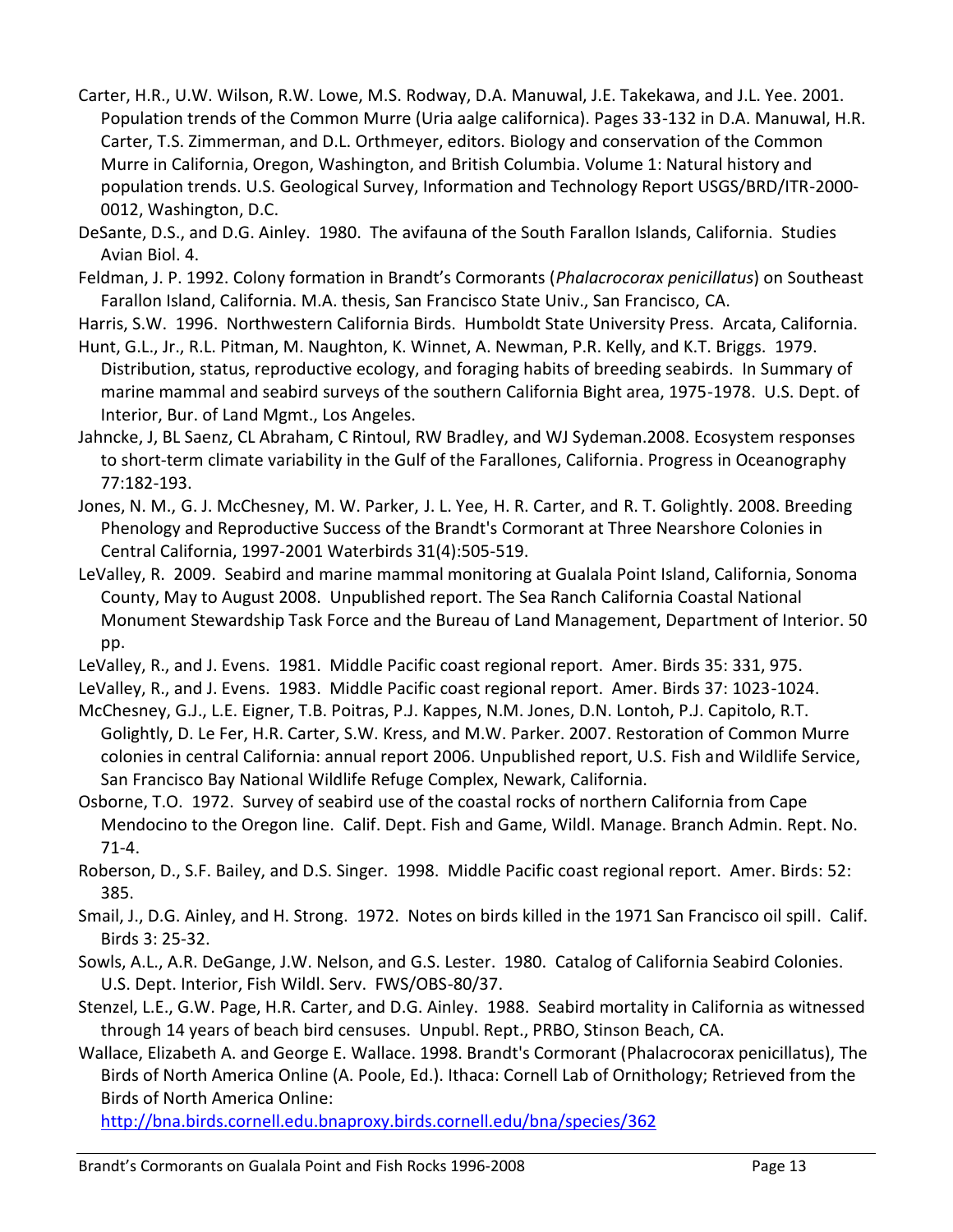- Carter, H.R., U.W. Wilson, R.W. Lowe, M.S. Rodway, D.A. Manuwal, J.E. Takekawa, and J.L. Yee. 2001. Population trends of the Common Murre (Uria aalge californica). Pages 33-132 in D.A. Manuwal, H.R. Carter, T.S. Zimmerman, and D.L. Orthmeyer, editors. Biology and conservation of the Common Murre in California, Oregon, Washington, and British Columbia. Volume 1: Natural history and population trends. U.S. Geological Survey, Information and Technology Report USGS/BRD/ITR-2000- 0012, Washington, D.C.
- DeSante, D.S., and D.G. Ainley. 1980. The avifauna of the South Farallon Islands, California. Studies Avian Biol. 4.
- Feldman, J. P. 1992. Colony formation in Brandt's Cormorants (*Phalacrocorax penicillatus*) on Southeast Farallon Island, California. M.A. thesis, San Francisco State Univ., San Francisco, CA.

Harris, S.W. 1996. Northwestern California Birds. Humboldt State University Press. Arcata, California.

Hunt, G.L., Jr., R.L. Pitman, M. Naughton, K. Winnet, A. Newman, P.R. Kelly, and K.T. Briggs. 1979. Distribution, status, reproductive ecology, and foraging habits of breeding seabirds. In Summary of marine mammal and seabird surveys of the southern California Bight area, 1975-1978. U.S. Dept. of Interior, Bur. of Land Mgmt., Los Angeles.

Jahncke, J, BL Saenz, CL Abraham, C Rintoul, RW Bradley, and WJ Sydeman.2008. [Ecosystem responses](http://www.faralloninstitute.org/Publications/Jahncke_et_al_2008.pdf)  [to short-term climate variability in the Gulf of the Farallones, California. Progress in Oceanography](http://www.faralloninstitute.org/Publications/Jahncke_et_al_2008.pdf)  77:182-193.

Jones, N. M., G. J. McChesney, M. W. Parker, J. L. Yee, H. R. Carter, and R. T. Golightly. 2008. Breeding Phenology and Reproductive Success of the Brandt's Cormorant at Three Nearshore Colonies in Central California, 1997-2001 Waterbirds 31(4):505-519.

LeValley, R. 2009. Seabird and marine mammal monitoring at Gualala Point Island, California, Sonoma County, May to August 2008. Unpublished report. The Sea Ranch California Coastal National Monument Stewardship Task Force and the Bureau of Land Management, Department of Interior. 50 pp.

LeValley, R., and J. Evens. 1981. Middle Pacific coast regional report. Amer. Birds 35: 331, 975.

LeValley, R., and J. Evens. 1983. Middle Pacific coast regional report. Amer. Birds 37: 1023-1024.

McChesney, G.J., L.E. Eigner, T.B. Poitras, P.J. Kappes, N.M. Jones, D.N. Lontoh, P.J. Capitolo, R.T. Golightly, D. Le Fer, H.R. Carter, S.W. Kress, and M.W. Parker. 2007. Restoration of Common Murre colonies in central California: annual report 2006. Unpublished report, U.S. Fish and Wildlife Service, San Francisco Bay National Wildlife Refuge Complex, Newark, California.

Osborne, T.O. 1972. Survey of seabird use of the coastal rocks of northern California from Cape Mendocino to the Oregon line. Calif. Dept. Fish and Game, Wildl. Manage. Branch Admin. Rept. No. 71-4.

Roberson, D., S.F. Bailey, and D.S. Singer. 1998. Middle Pacific coast regional report. Amer. Birds: 52: 385.

Smail, J., D.G. Ainley, and H. Strong. 1972. Notes on birds killed in the 1971 San Francisco oil spill. Calif. Birds 3: 25-32.

Sowls, A.L., A.R. DeGange, J.W. Nelson, and G.S. Lester. 1980. Catalog of California Seabird Colonies. U.S. Dept. Interior, Fish Wildl. Serv. FWS/OBS-80/37.

- Stenzel, L.E., G.W. Page, H.R. Carter, and D.G. Ainley. 1988. Seabird mortality in California as witnessed through 14 years of beach bird censuses. Unpubl. Rept., PRBO, Stinson Beach, CA.
- Wallace, Elizabeth A. and George E. Wallace. 1998. Brandt's Cormorant (Phalacrocorax penicillatus), The Birds of North America Online (A. Poole, Ed.). Ithaca: Cornell Lab of Ornithology; Retrieved from the Birds of North America Online:

<http://bna.birds.cornell.edu.bnaproxy.birds.cornell.edu/bna/species/362>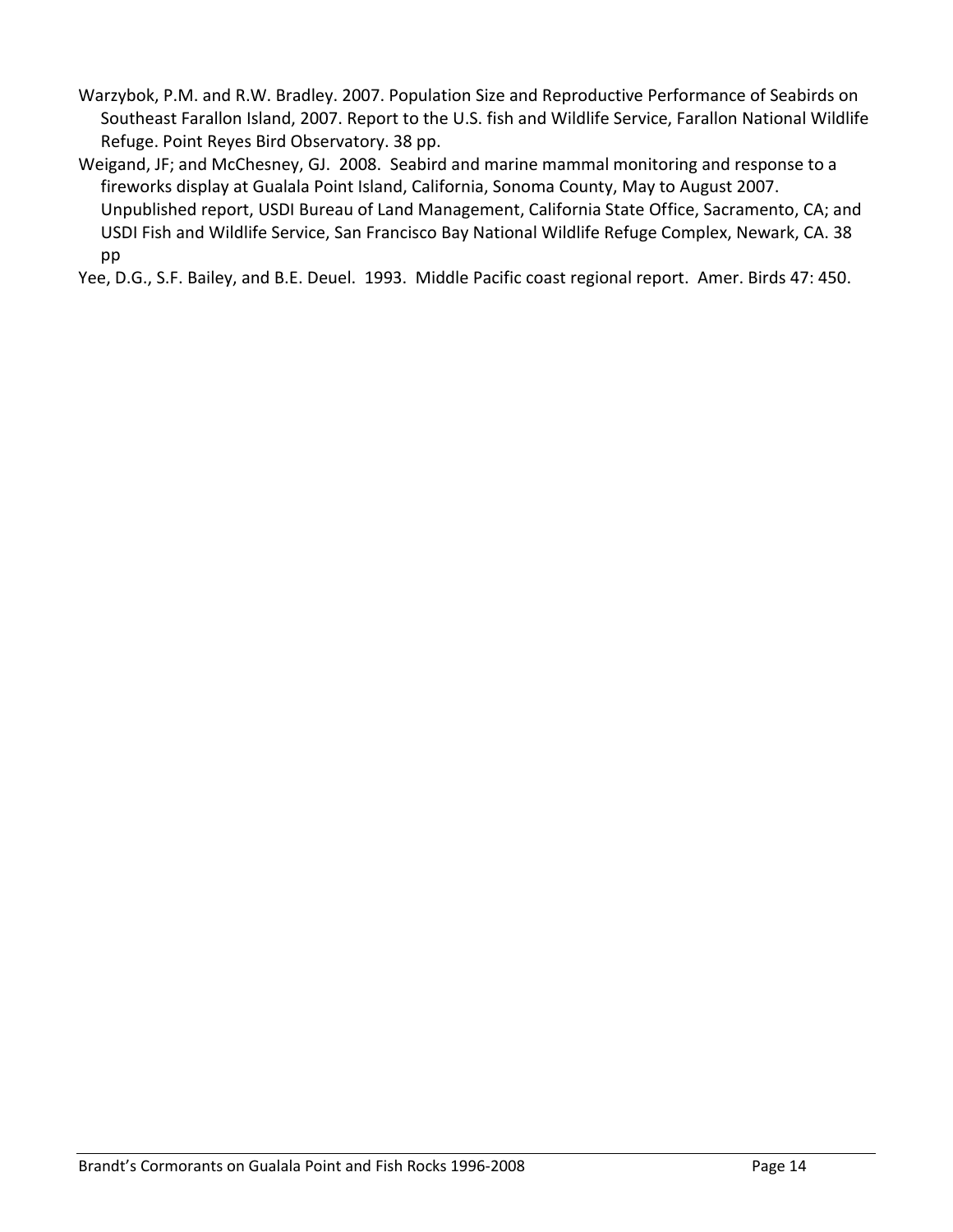Warzybok, P.M. and R.W. Bradley. 2007. Population Size and Reproductive Performance of Seabirds on Southeast Farallon Island, 2007. Report to the U.S. fish and Wildlife Service, Farallon National Wildlife Refuge. Point Reyes Bird Observatory. 38 pp.

Weigand, JF; and McChesney, GJ. 2008. Seabird and marine mammal monitoring and response to a fireworks display at Gualala Point Island, California, Sonoma County, May to August 2007. Unpublished report, USDI Bureau of Land Management, California State Office, Sacramento, CA; and USDI Fish and Wildlife Service, San Francisco Bay National Wildlife Refuge Complex, Newark, CA. 38 pp

Yee, D.G., S.F. Bailey, and B.E. Deuel. 1993. Middle Pacific coast regional report. Amer. Birds 47: 450.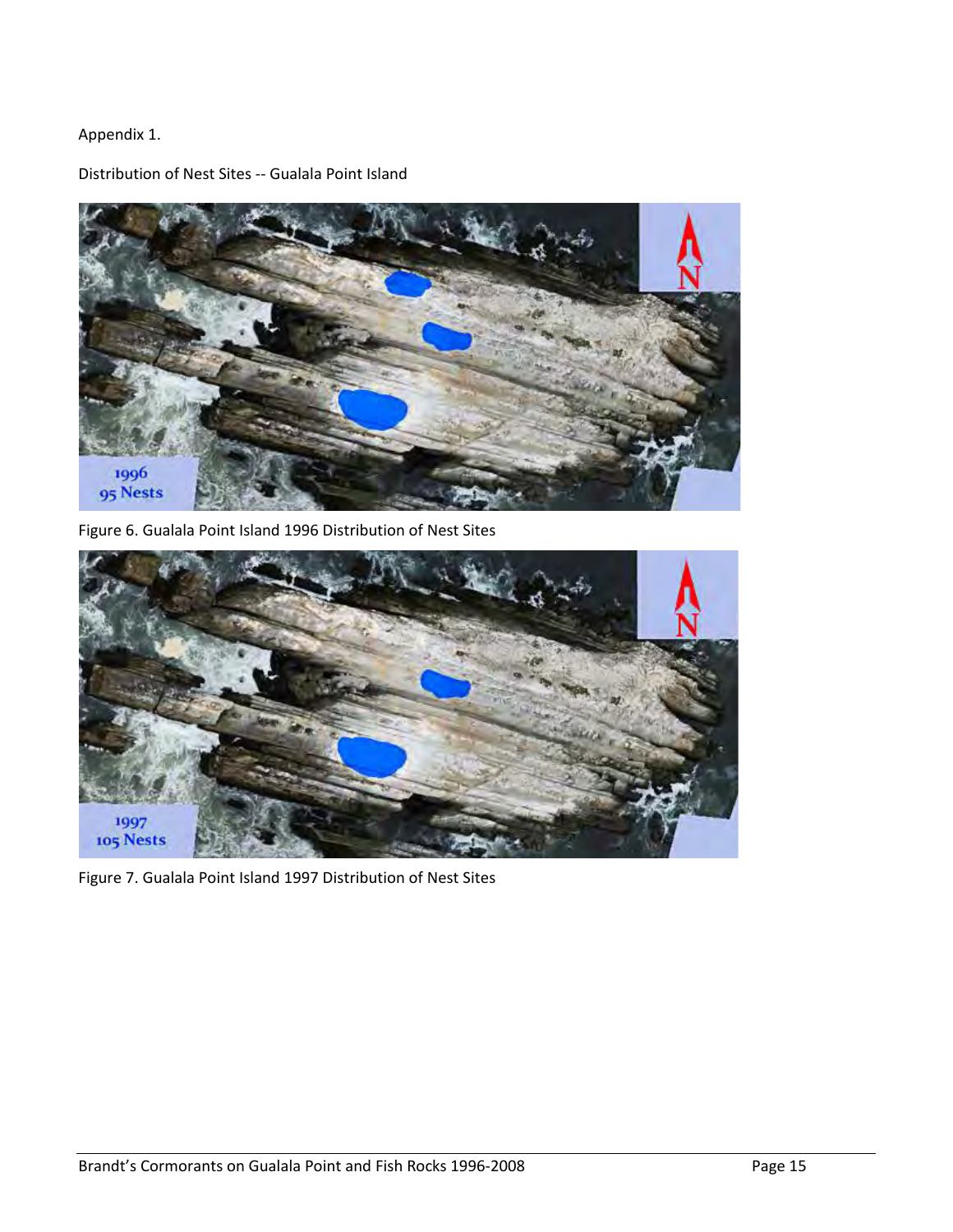## Appendix 1.

Distribution of Nest Sites -- Gualala Point Island



Figure 6. Gualala Point Island 1996 Distribution of Nest Sites



Figure 7. Gualala Point Island 1997 Distribution of Nest Sites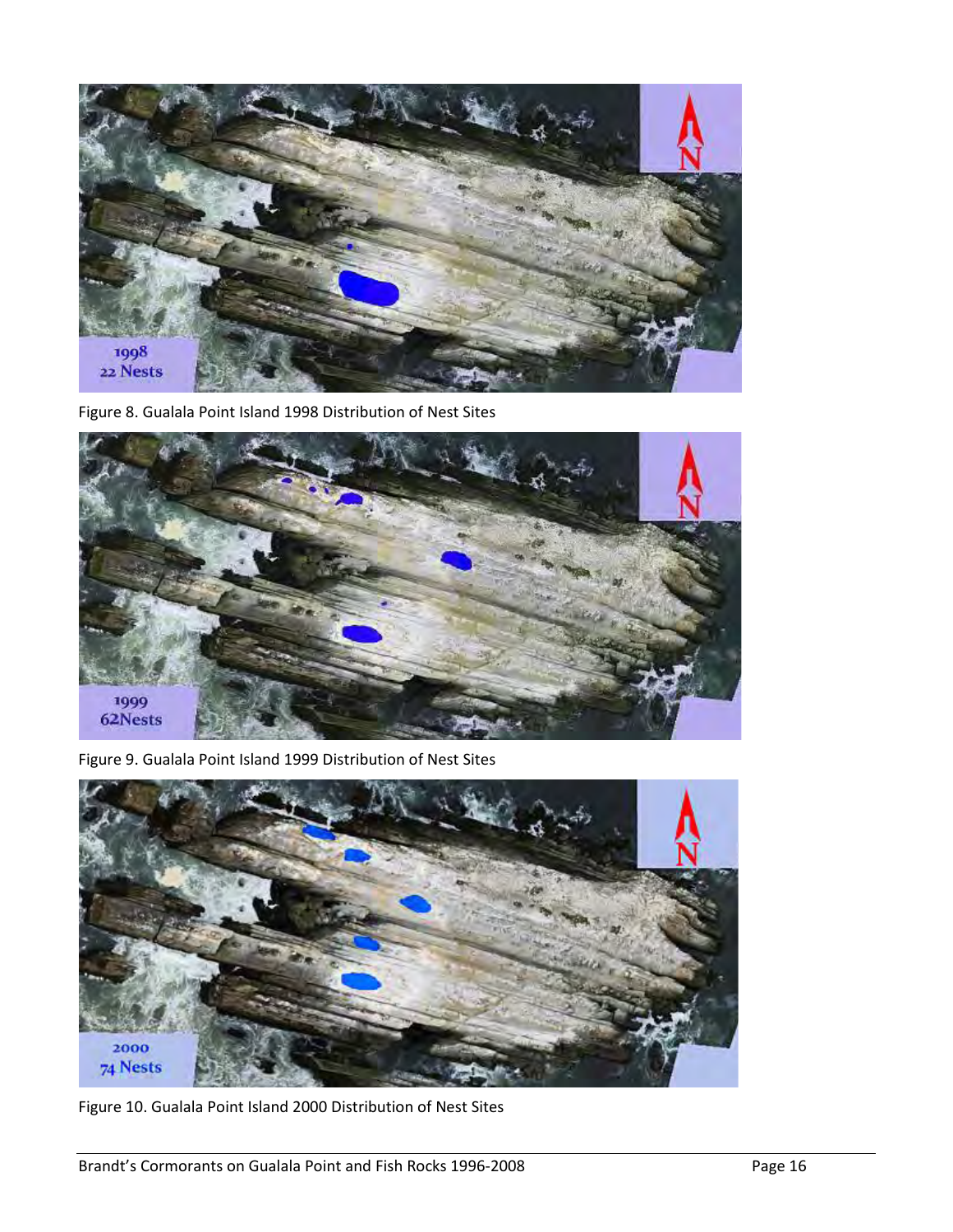

Figure 8. Gualala Point Island 1998 Distribution of Nest Sites



Figure 9. Gualala Point Island 1999 Distribution of Nest Sites



Figure 10. Gualala Point Island 2000 Distribution of Nest Sites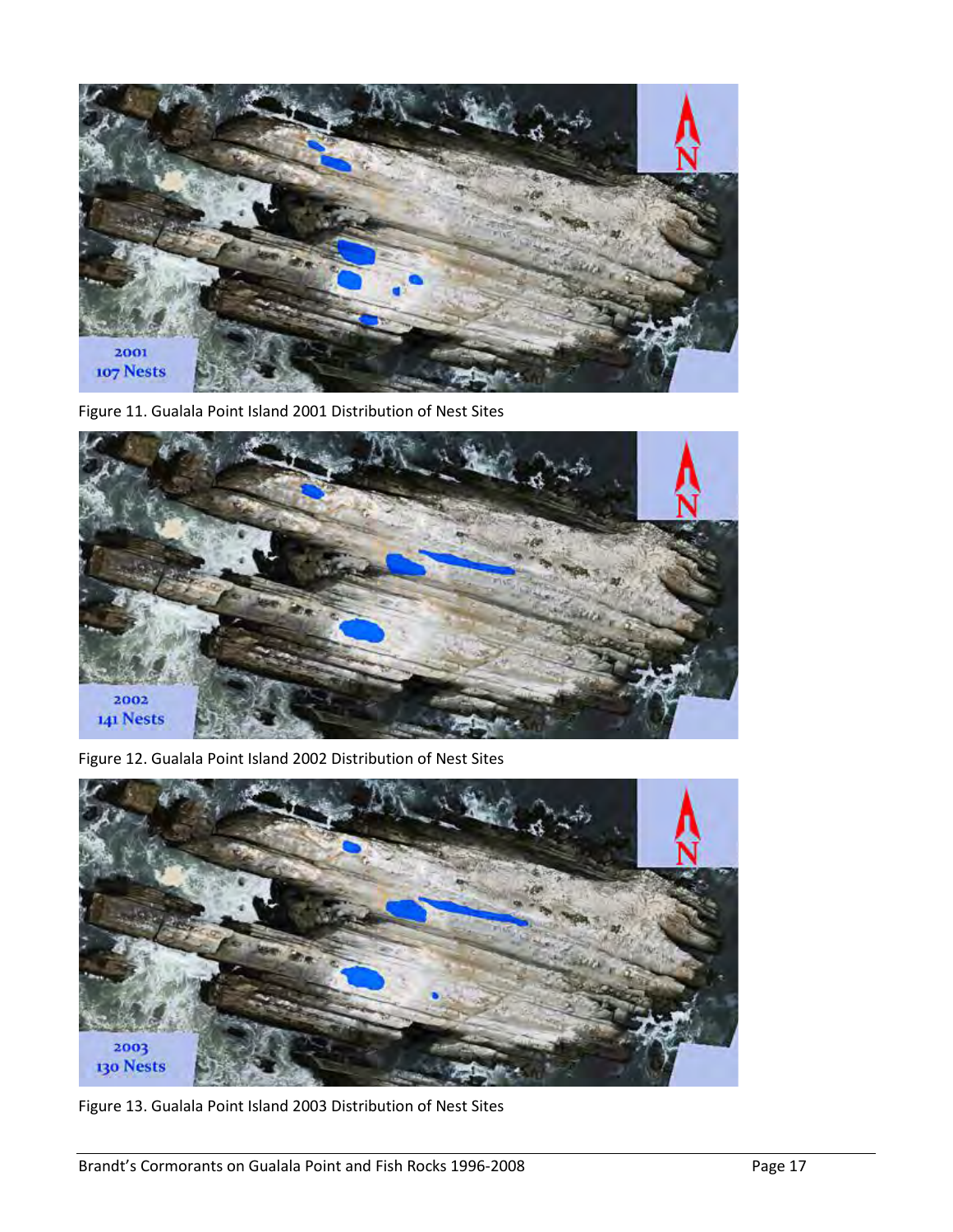

Figure 11. Gualala Point Island 2001 Distribution of Nest Sites



Figure 12. Gualala Point Island 2002 Distribution of Nest Sites



Figure 13. Gualala Point Island 2003 Distribution of Nest Sites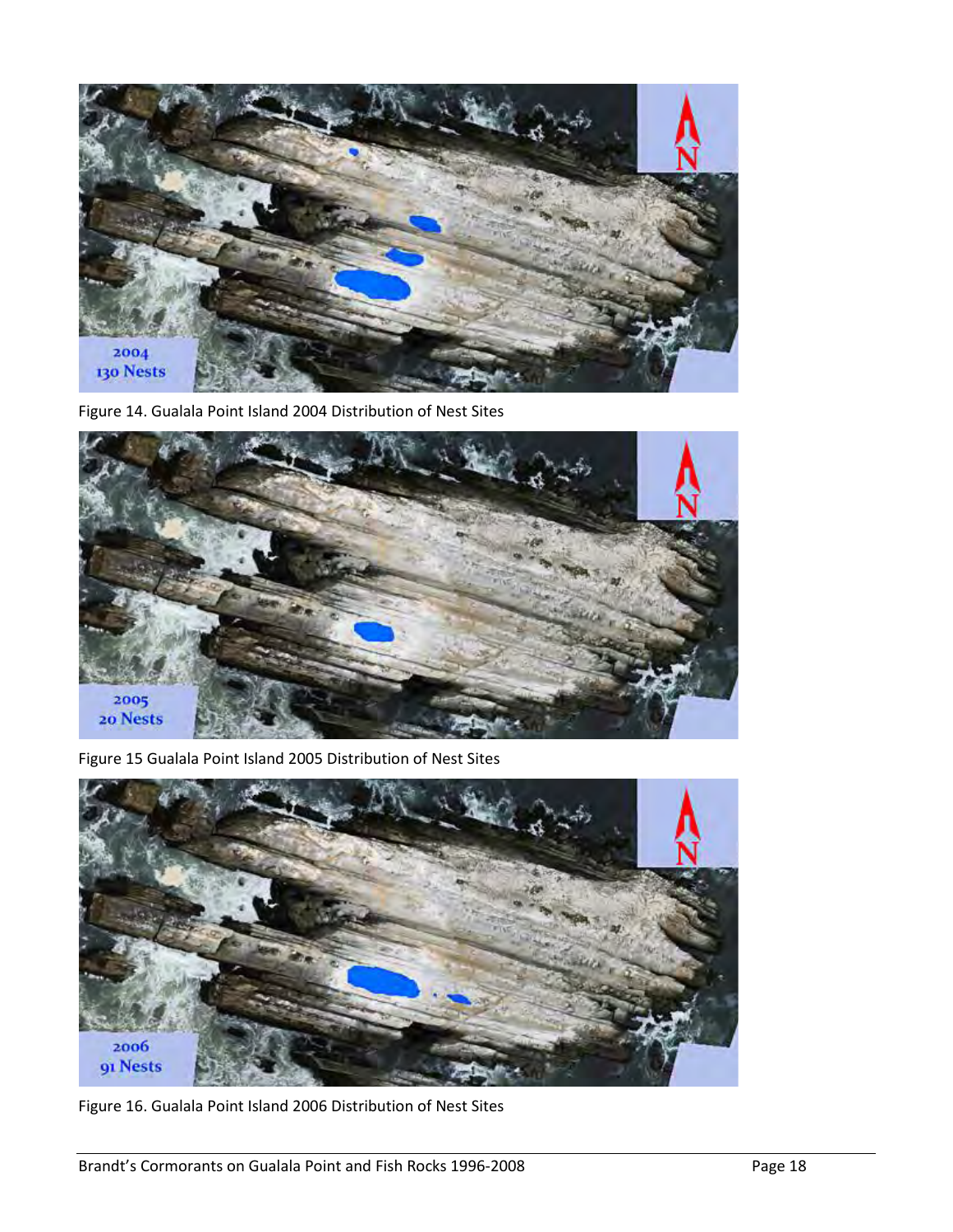

Figure 14. Gualala Point Island 2004 Distribution of Nest Sites



Figure 15 Gualala Point Island 2005 Distribution of Nest Sites



Figure 16. Gualala Point Island 2006 Distribution of Nest Sites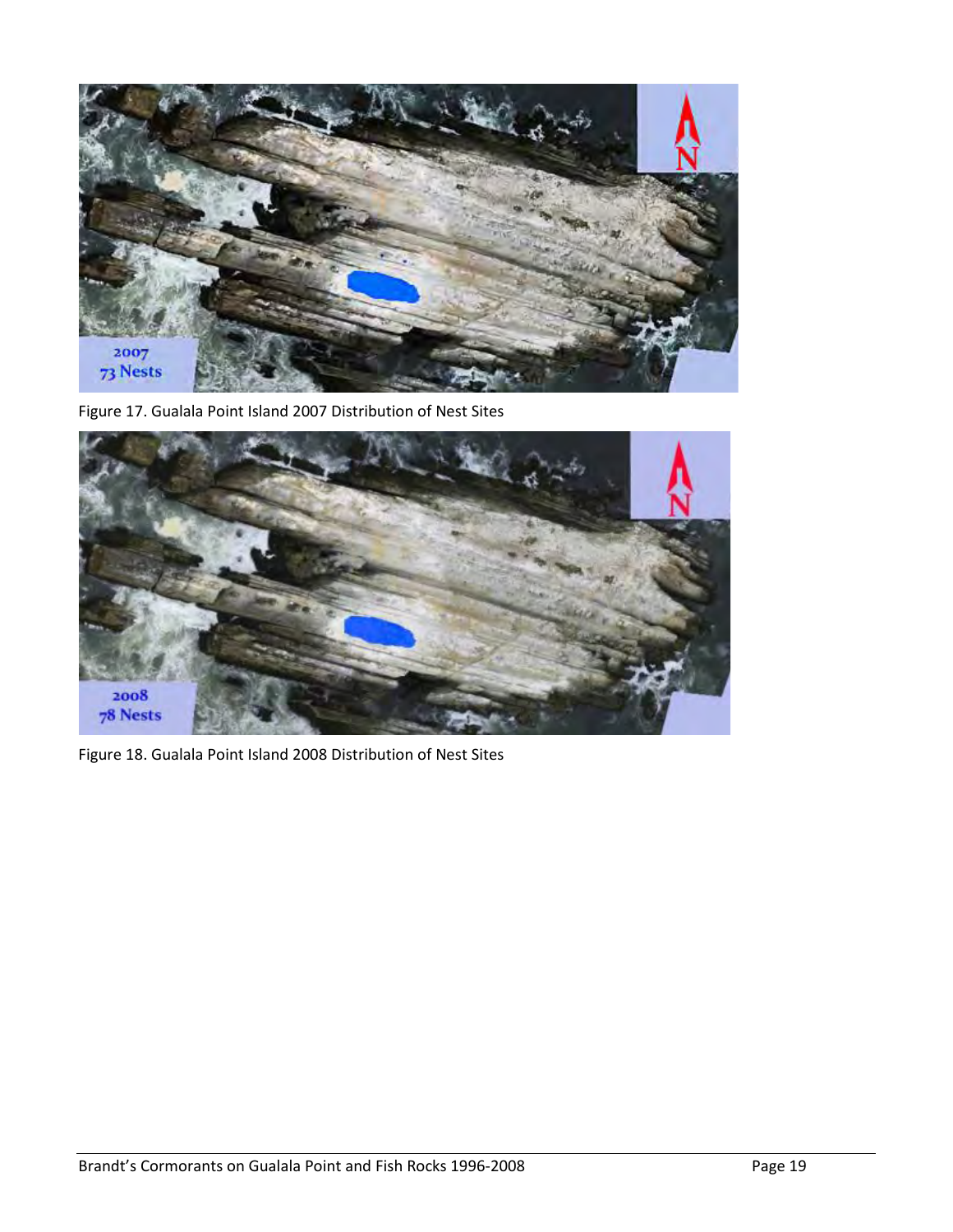

Figure 17. Gualala Point Island 2007 Distribution of Nest Sites



Figure 18. Gualala Point Island 2008 Distribution of Nest Sites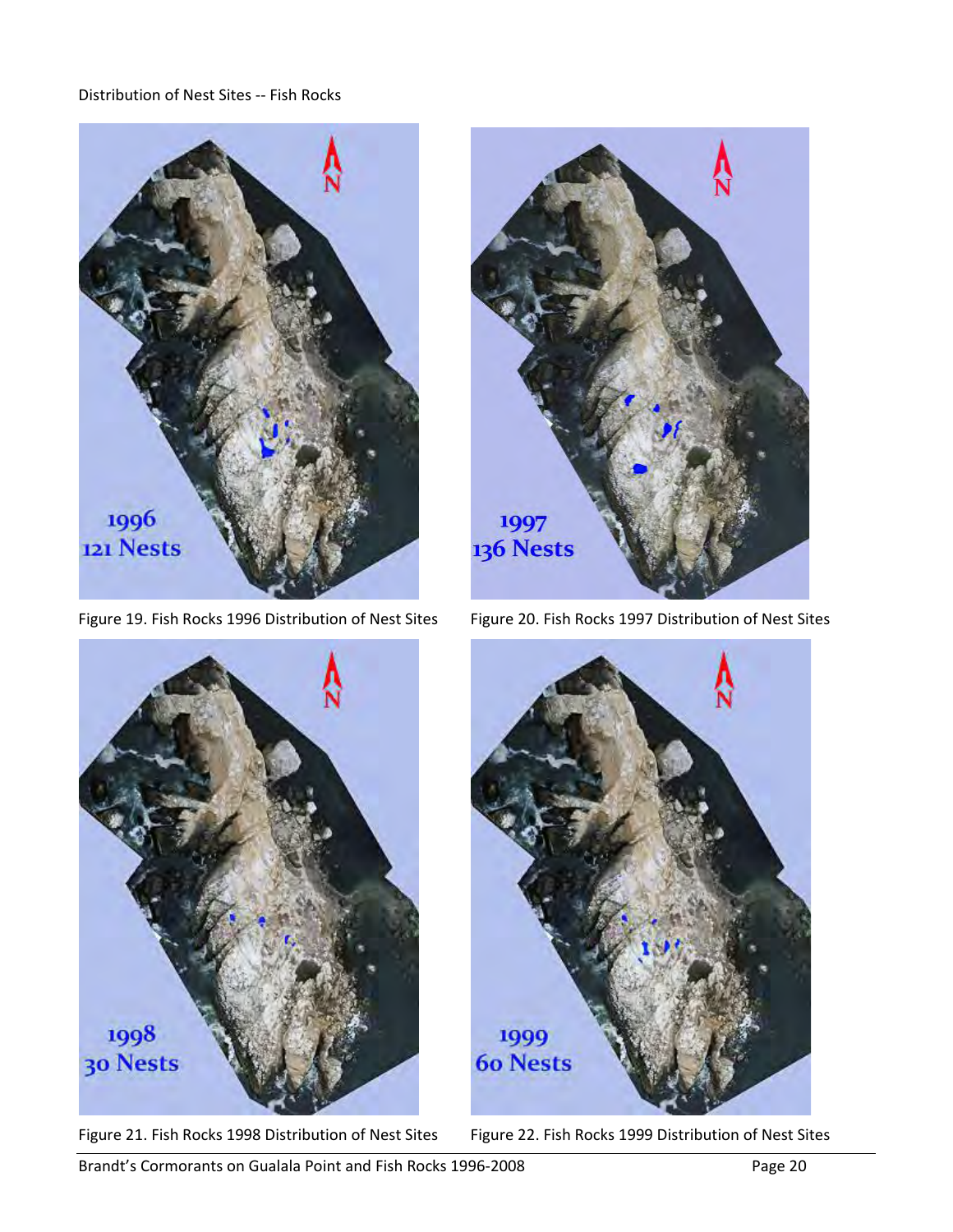#### Distribution of Nest Sites -- Fish Rocks



Figure 19. Fish Rocks 1996 Distribution of Nest Sites Figure 20. Fish Rocks 1997 Distribution of Nest Sites







Figure 21. Fish Rocks 1998 Distribution of Nest Sites Figure 22. Fish Rocks 1999 Distribution of Nest Sites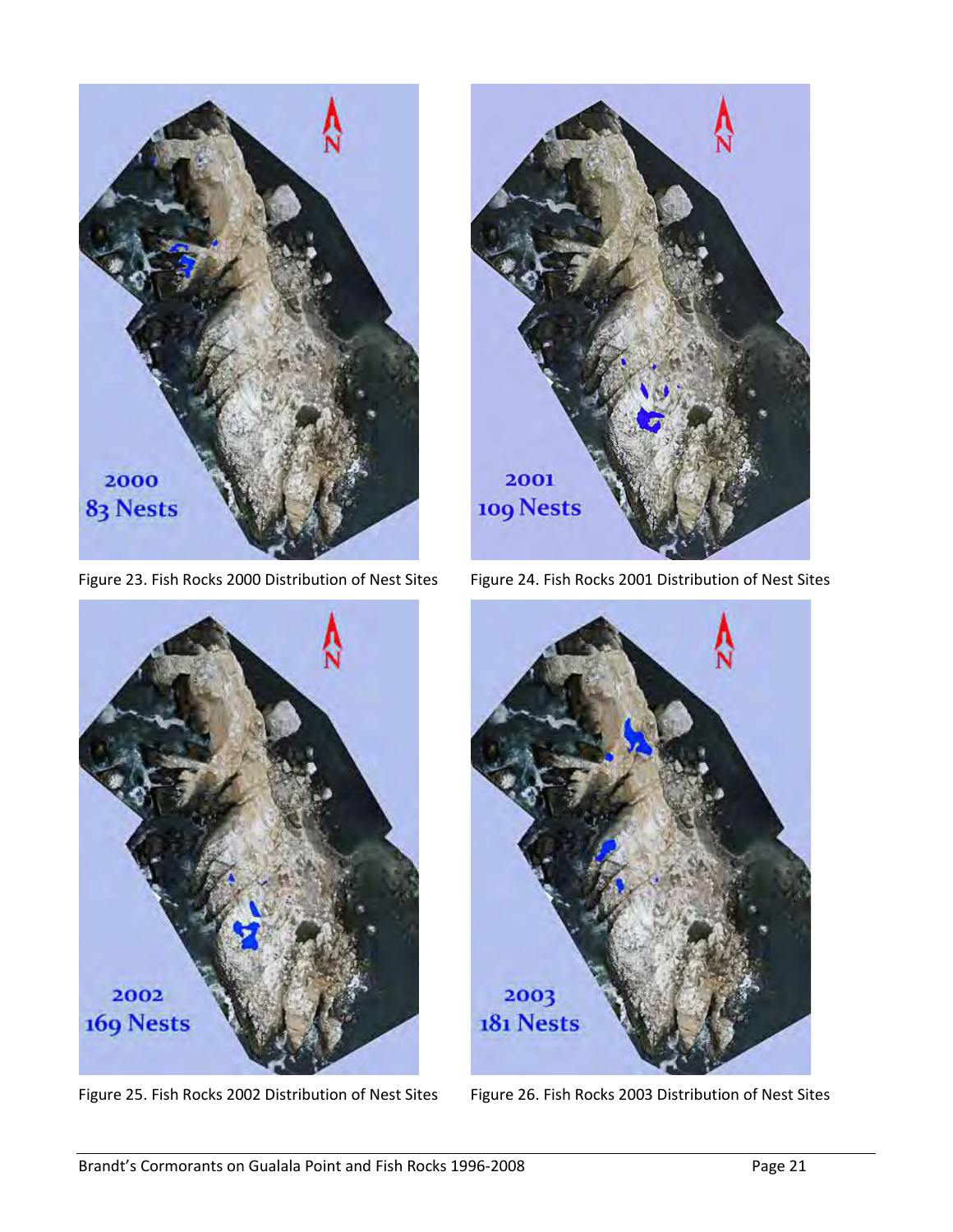

Figure 23. Fish Rocks 2000 Distribution of Nest Sites Figure 24. Fish Rocks 2001 Distribution of Nest Sites





Figure 25. Fish Rocks 2002 Distribution of Nest Sites Figure 26. Fish Rocks 2003 Distribution of Nest Sites

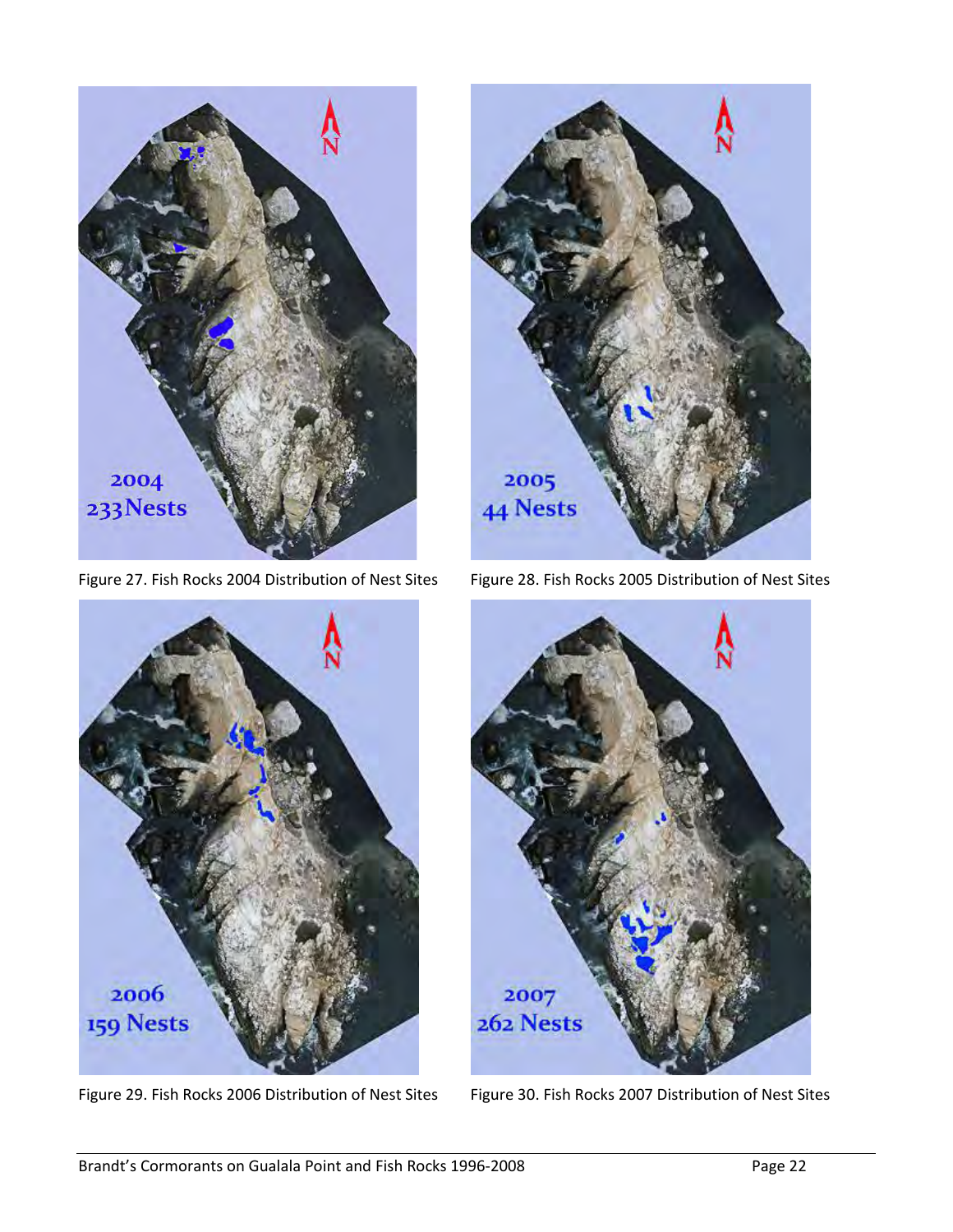

Figure 27. Fish Rocks 2004 Distribution of Nest Sites Figure 28. Fish Rocks 2005 Distribution of Nest Sites





Figure 29. Fish Rocks 2006 Distribution of Nest Sites Figure 30. Fish Rocks 2007 Distribution of Nest Sites

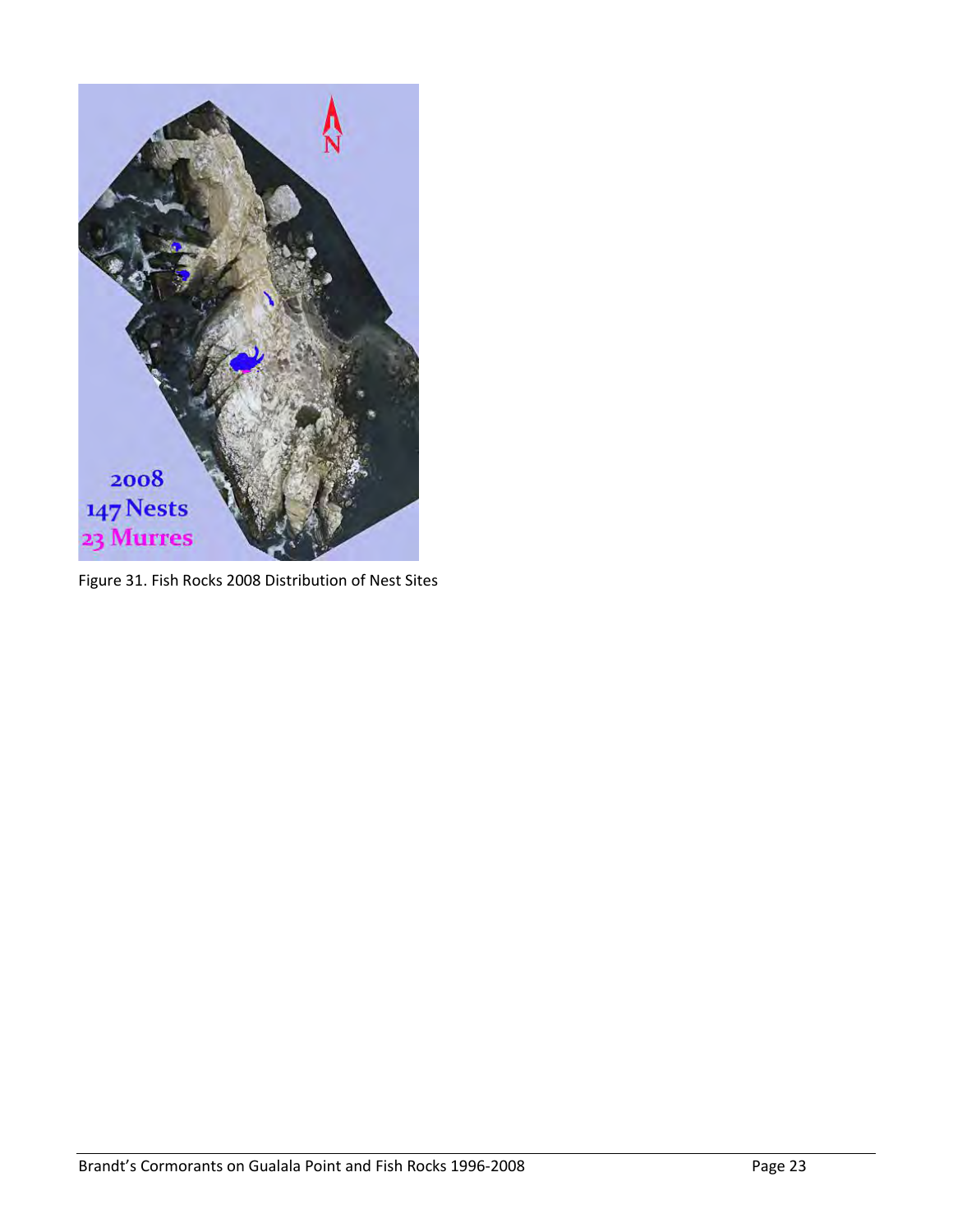

Figure 31. Fish Rocks 2008 Distribution of Nest Sites